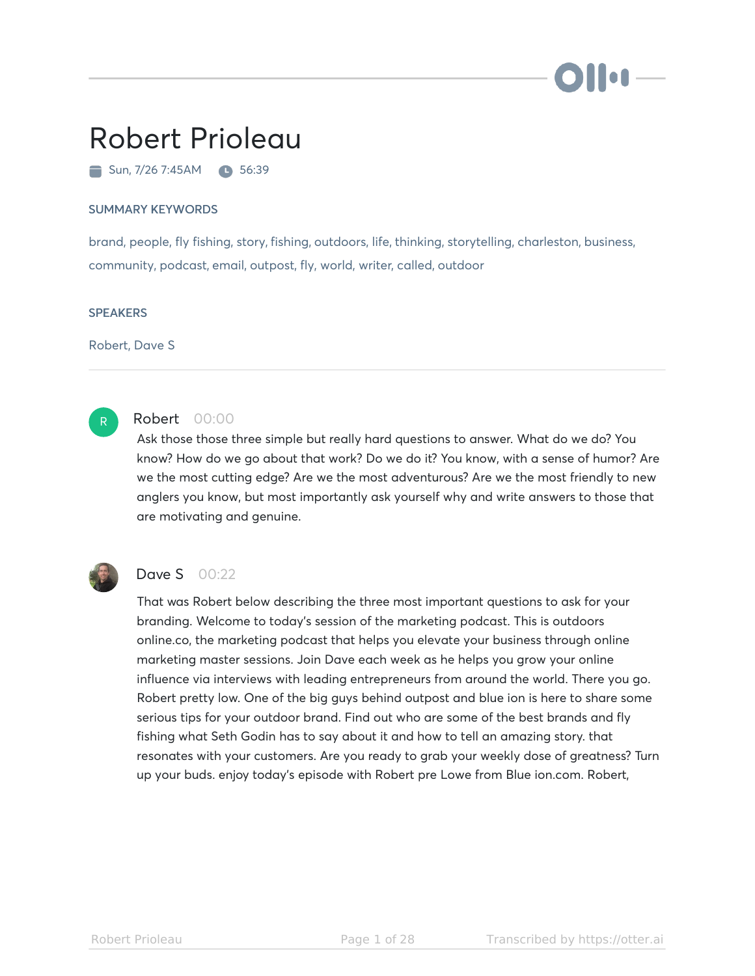# Robert Prioleau

 $\blacksquare$  Sun, 7/26 7:45AM  $\blacksquare$  56:39

#### SUMMARY KEYWORDS

brand, people, fly fishing, story, fishing, outdoors, life, thinking, storytelling, charleston, business, community, podcast, email, outpost, fly, world, writer, called, outdoor

#### **SPEAKERS**

Robert, Dave S



# Robert 00:00

Ask those those three simple but really hard questions to answer. What do we do? You know? How do we go about that work? Do we do it? You know, with a sense of humor? Are we the most cutting edge? Are we the most adventurous? Are we the most friendly to new anglers you know, but most importantly ask yourself why and write answers to those that are motivating and genuine.



# Dave S 00:22

That was Robert below describing the three most important questions to ask for your branding. Welcome to today's session of the marketing podcast. This is outdoors online.co, the marketing podcast that helps you elevate your business through online marketing master sessions. Join Dave each week as he helps you grow your online influence via interviews with leading entrepreneurs from around the world. There you go. Robert pretty low. One of the big guys behind outpost and blue ion is here to share some serious tips for your outdoor brand. Find out who are some of the best brands and fly fishing what Seth Godin has to say about it and how to tell an amazing story. that resonates with your customers. Are you ready to grab your weekly dose of greatness? Turn up your buds. enjoy today's episode with Robert pre Lowe from Blue ion.com. Robert,

ilion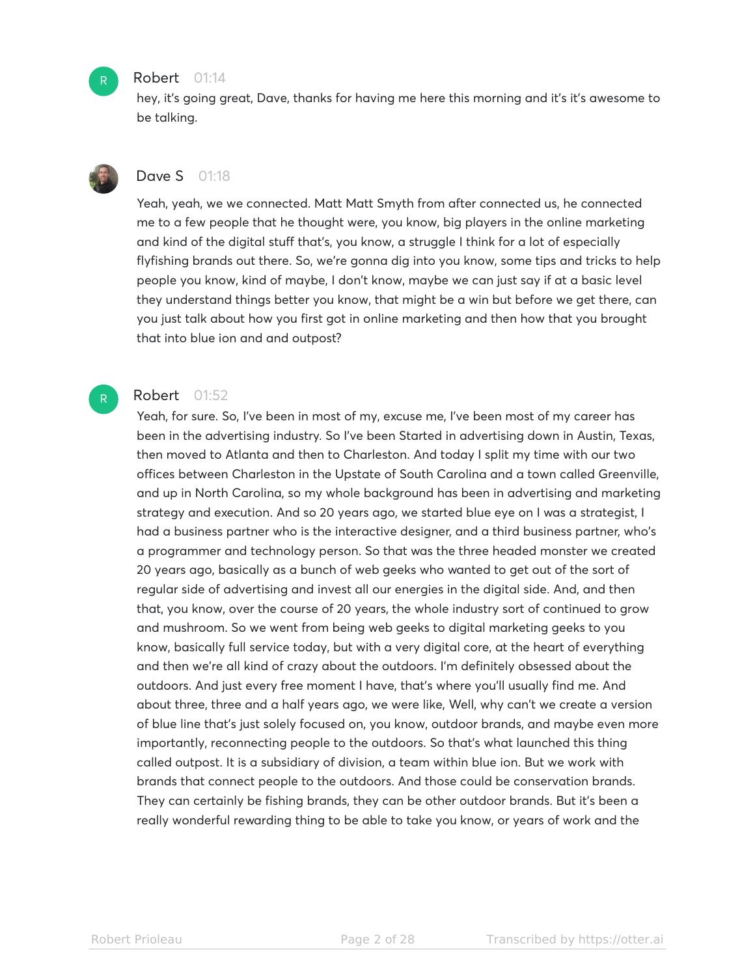

#### Robert 01:14

hey, it's going great, Dave, thanks for having me here this morning and it's it's awesome to be talking.



 $R^-$ 

# **Dave S** 01:18

Yeah, yeah, we we connected. Matt Matt Smyth from after connected us, he connected me to a few people that he thought were, you know, big players in the online marketing and kind of the digital stuff that's, you know, a struggle I think for a lot of especially flyfishing brands out there. So, we're gonna dig into you know, some tips and tricks to help people you know, kind of maybe, I don't know, maybe we can just say if at a basic level they understand things better you know, that might be a win but before we get there, can you just talk about how you first got in online marketing and then how that you brought that into blue ion and and outpost?

# Robert 01:52

Yeah, for sure. So, I've been in most of my, excuse me, I've been most of my career has been in the advertising industry. So I've been Started in advertising down in Austin, Texas, then moved to Atlanta and then to Charleston. And today I split my time with our two offices between Charleston in the Upstate of South Carolina and a town called Greenville, and up in North Carolina, so my whole background has been in advertising and marketing strategy and execution. And so 20 years ago, we started blue eye on I was a strategist, I had a business partner who is the interactive designer, and a third business partner, who's a programmer and technology person. So that was the three headed monster we created 20 years ago, basically as a bunch of web geeks who wanted to get out of the sort of regular side of advertising and invest all our energies in the digital side. And, and then that, you know, over the course of 20 years, the whole industry sort of continued to grow and mushroom. So we went from being web geeks to digital marketing geeks to you know, basically full service today, but with a very digital core, at the heart of everything and then we're all kind of crazy about the outdoors. I'm definitely obsessed about the outdoors. And just every free moment I have, that's where you'll usually find me. And about three, three and a half years ago, we were like, Well, why can't we create a version of blue line that's just solely focused on, you know, outdoor brands, and maybe even more importantly, reconnecting people to the outdoors. So that's what launched this thing called outpost. It is a subsidiary of division, a team within blue ion. But we work with brands that connect people to the outdoors. And those could be conservation brands. They can certainly be fishing brands, they can be other outdoor brands. But it's been a really wonderful rewarding thing to be able to take you know, or years of work and the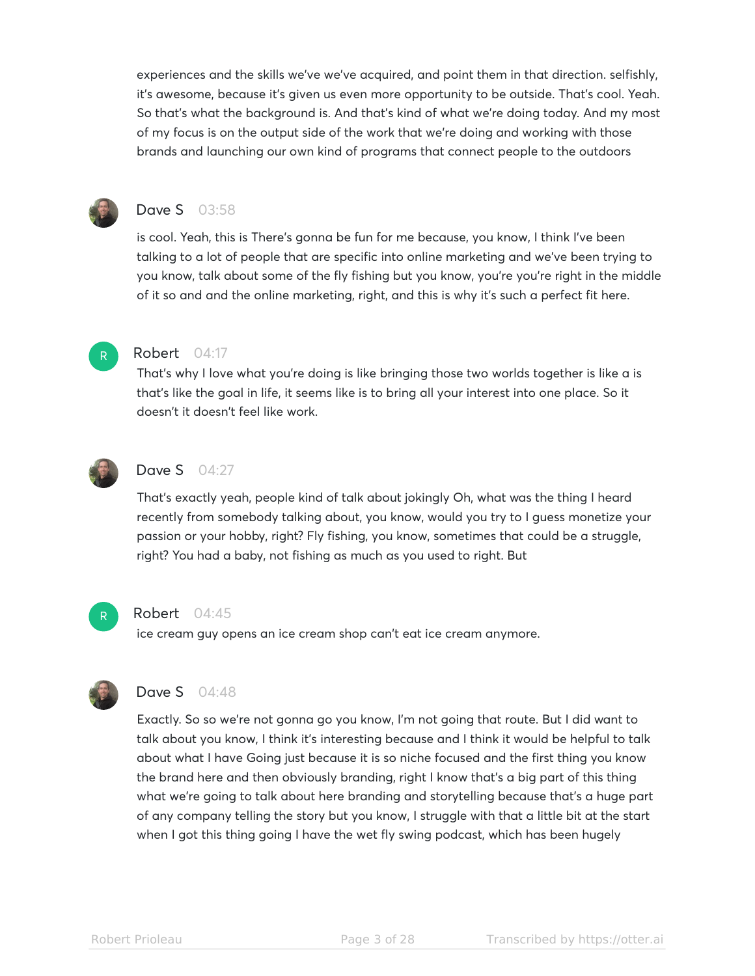experiences and the skills we've we've acquired, and point them in that direction. selfishly, it's awesome, because it's given us even more opportunity to be outside. That's cool. Yeah. So that's what the background is. And that's kind of what we're doing today. And my most of my focus is on the output side of the work that we're doing and working with those brands and launching our own kind of programs that connect people to the outdoors



# **Dave S** 03:58

is cool. Yeah, this is There's gonna be fun for me because, you know, I think I've been talking to a lot of people that are specific into online marketing and we've been trying to you know, talk about some of the fly fishing but you know, you're you're right in the middle of it so and and the online marketing, right, and this is why it's such a perfect fit here.



R

# Robert 04:17

That's why I love what you're doing is like bringing those two worlds together is like a is that's like the goal in life, it seems like is to bring all your interest into one place. So it doesn't it doesn't feel like work.



# Dave S 04:27

That's exactly yeah, people kind of talk about jokingly Oh, what was the thing I heard recently from somebody talking about, you know, would you try to I guess monetize your passion or your hobby, right? Fly fishing, you know, sometimes that could be a struggle, right? You had a baby, not fishing as much as you used to right. But



#### Robert 04:45

ice cream guy opens an ice cream shop can't eat ice cream anymore.



## Dave S 04:48

Exactly. So so we're not gonna go you know, I'm not going that route. But I did want to talk about you know, I think it's interesting because and I think it would be helpful to talk about what I have Going just because it is so niche focused and the first thing you know the brand here and then obviously branding, right I know that's a big part of this thing what we're going to talk about here branding and storytelling because that's a huge part of any company telling the story but you know, I struggle with that a little bit at the start when I got this thing going I have the wet fly swing podcast, which has been hugely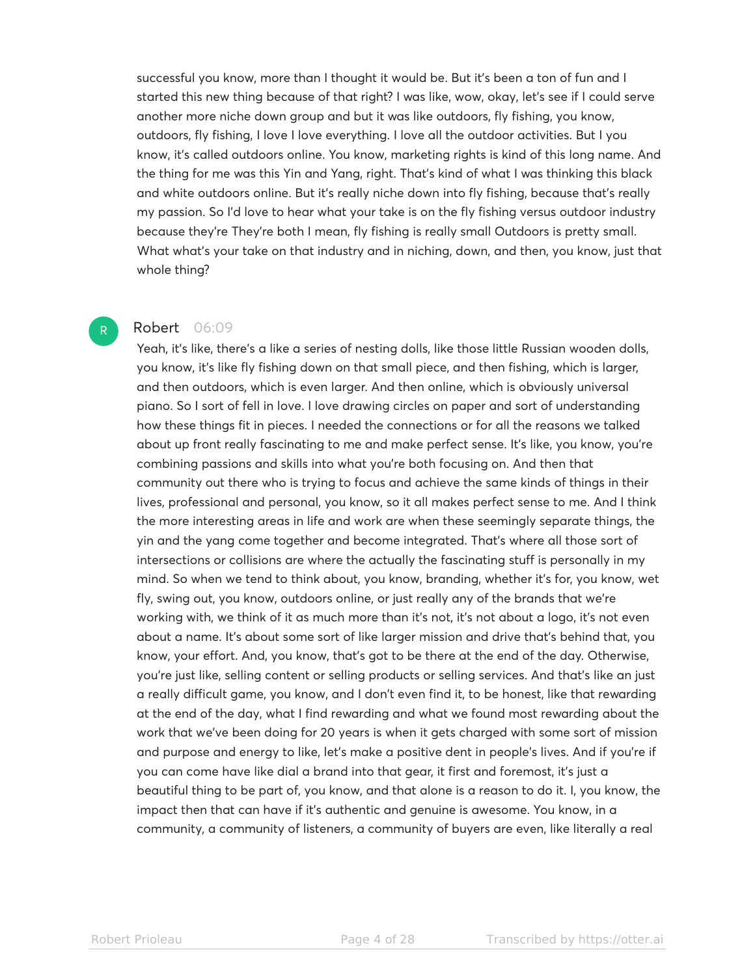successful you know, more than I thought it would be. But it's been a ton of fun and I started this new thing because of that right? I was like, wow, okay, let's see if I could serve another more niche down group and but it was like outdoors, fly fishing, you know, outdoors, fly fishing, I love I love everything. I love all the outdoor activities. But I you know, it's called outdoors online. You know, marketing rights is kind of this long name. And the thing for me was this Yin and Yang, right. That's kind of what I was thinking this black and white outdoors online. But it's really niche down into fly fishing, because that's really my passion. So I'd love to hear what your take is on the fly fishing versus outdoor industry because they're They're both I mean, fly fishing is really small Outdoors is pretty small. What what's your take on that industry and in niching, down, and then, you know, just that whole thing?

## Robert 06:09

R

Yeah, it's like, there's a like a series of nesting dolls, like those little Russian wooden dolls, you know, it's like fly fishing down on that small piece, and then fishing, which is larger, and then outdoors, which is even larger. And then online, which is obviously universal piano. So I sort of fell in love. I love drawing circles on paper and sort of understanding how these things fit in pieces. I needed the connections or for all the reasons we talked about up front really fascinating to me and make perfect sense. It's like, you know, you're combining passions and skills into what you're both focusing on. And then that community out there who is trying to focus and achieve the same kinds of things in their lives, professional and personal, you know, so it all makes perfect sense to me. And I think the more interesting areas in life and work are when these seemingly separate things, the yin and the yang come together and become integrated. That's where all those sort of intersections or collisions are where the actually the fascinating stuff is personally in my mind. So when we tend to think about, you know, branding, whether it's for, you know, wet fly, swing out, you know, outdoors online, or just really any of the brands that we're working with, we think of it as much more than it's not, it's not about a logo, it's not even about a name. It's about some sort of like larger mission and drive that's behind that, you know, your effort. And, you know, that's got to be there at the end of the day. Otherwise, you're just like, selling content or selling products or selling services. And that's like an just a really difficult game, you know, and I don't even find it, to be honest, like that rewarding at the end of the day, what I find rewarding and what we found most rewarding about the work that we've been doing for 20 years is when it gets charged with some sort of mission and purpose and energy to like, let's make a positive dent in people's lives. And if you're if you can come have like dial a brand into that gear, it first and foremost, it's just a beautiful thing to be part of, you know, and that alone is a reason to do it. I, you know, the impact then that can have if it's authentic and genuine is awesome. You know, in a community, a community of listeners, a community of buyers are even, like literally a real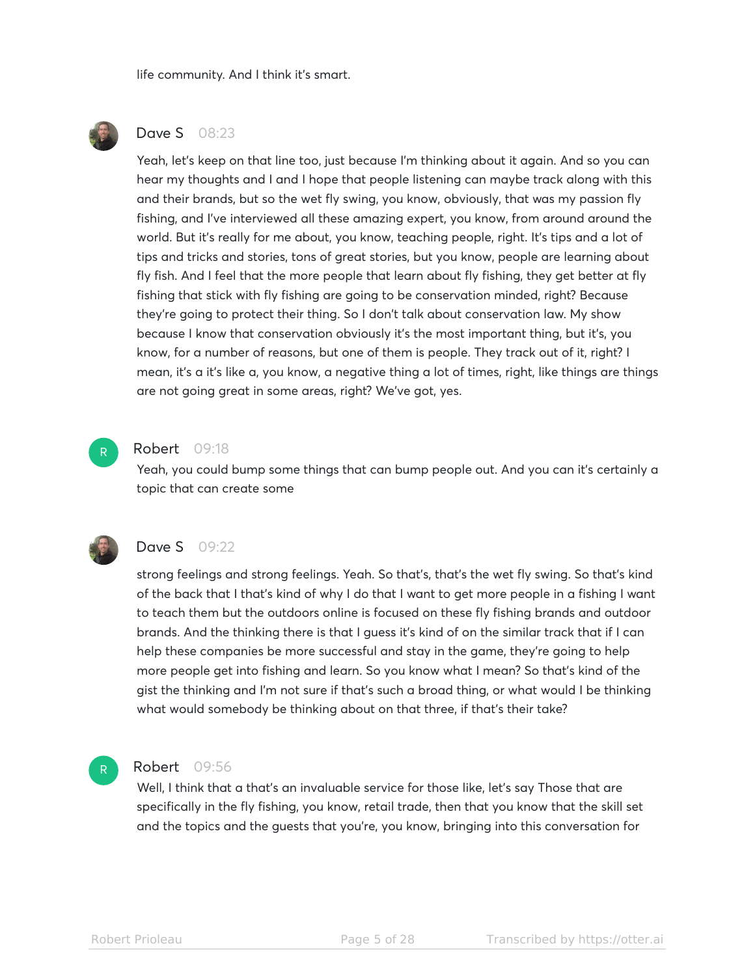life community. And I think it's smart.



# **Dave S** 08:23

Yeah, let's keep on that line too, just because I'm thinking about it again. And so you can hear my thoughts and I and I hope that people listening can maybe track along with this and their brands, but so the wet fly swing, you know, obviously, that was my passion fly fishing, and I've interviewed all these amazing expert, you know, from around around the world. But it's really for me about, you know, teaching people, right. It's tips and a lot of tips and tricks and stories, tons of great stories, but you know, people are learning about fly fish. And I feel that the more people that learn about fly fishing, they get better at fly fishing that stick with fly fishing are going to be conservation minded, right? Because they're going to protect their thing. So I don't talk about conservation law. My show because I know that conservation obviously it's the most important thing, but it's, you know, for a number of reasons, but one of them is people. They track out of it, right? I mean, it's a it's like a, you know, a negative thing a lot of times, right, like things are things are not going great in some areas, right? We've got, yes.



#### Robert 09:18

Yeah, you could bump some things that can bump people out. And you can it's certainly a topic that can create some



#### **Dave S** 09:22

strong feelings and strong feelings. Yeah. So that's, that's the wet fly swing. So that's kind of the back that I that's kind of why I do that I want to get more people in a fishing I want to teach them but the outdoors online is focused on these fly fishing brands and outdoor brands. And the thinking there is that I guess it's kind of on the similar track that if I can help these companies be more successful and stay in the game, they're going to help more people get into fishing and learn. So you know what I mean? So that's kind of the gist the thinking and I'm not sure if that's such a broad thing, or what would I be thinking what would somebody be thinking about on that three, if that's their take?

## R

# Robert 09:56

Well, I think that a that's an invaluable service for those like, let's say Those that are specifically in the fly fishing, you know, retail trade, then that you know that the skill set and the topics and the guests that you're, you know, bringing into this conversation for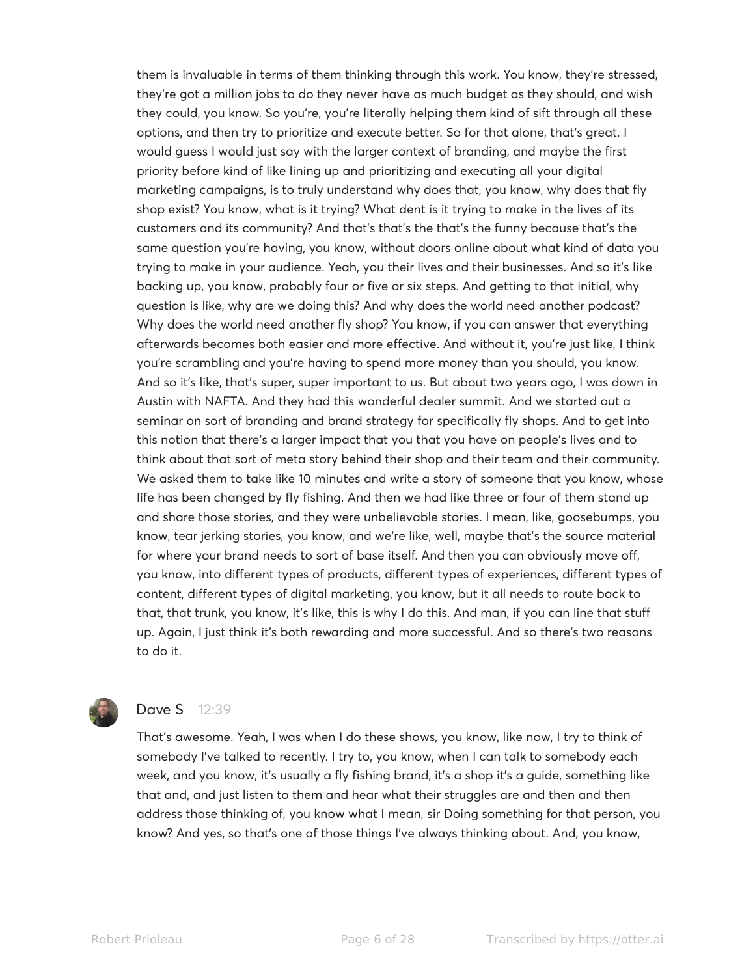them is invaluable in terms of them thinking through this work. You know, they're stressed, they're got a million jobs to do they never have as much budget as they should, and wish they could, you know. So you're, you're literally helping them kind of sift through all these options, and then try to prioritize and execute better. So for that alone, that's great. I would guess I would just say with the larger context of branding, and maybe the first priority before kind of like lining up and prioritizing and executing all your digital marketing campaigns, is to truly understand why does that, you know, why does that fly shop exist? You know, what is it trying? What dent is it trying to make in the lives of its customers and its community? And that's that's the that's the funny because that's the same question you're having, you know, without doors online about what kind of data you trying to make in your audience. Yeah, you their lives and their businesses. And so it's like backing up, you know, probably four or five or six steps. And getting to that initial, why question is like, why are we doing this? And why does the world need another podcast? Why does the world need another fly shop? You know, if you can answer that everything afterwards becomes both easier and more effective. And without it, you're just like, I think you're scrambling and you're having to spend more money than you should, you know. And so it's like, that's super, super important to us. But about two years ago, I was down in Austin with NAFTA. And they had this wonderful dealer summit. And we started out a seminar on sort of branding and brand strategy for specifically fly shops. And to get into this notion that there's a larger impact that you that you have on people's lives and to think about that sort of meta story behind their shop and their team and their community. We asked them to take like 10 minutes and write a story of someone that you know, whose life has been changed by fly fishing. And then we had like three or four of them stand up and share those stories, and they were unbelievable stories. I mean, like, goosebumps, you know, tear jerking stories, you know, and we're like, well, maybe that's the source material for where your brand needs to sort of base itself. And then you can obviously move off, you know, into different types of products, different types of experiences, different types of content, different types of digital marketing, you know, but it all needs to route back to that, that trunk, you know, it's like, this is why I do this. And man, if you can line that stuff up. Again, I just think it's both rewarding and more successful. And so there's two reasons to do it.



# **Dave S** 12:39

That's awesome. Yeah, I was when I do these shows, you know, like now, I try to think of somebody I've talked to recently. I try to, you know, when I can talk to somebody each week, and you know, it's usually a fly fishing brand, it's a shop it's a guide, something like that and, and just listen to them and hear what their struggles are and then and then address those thinking of, you know what I mean, sir Doing something for that person, you know? And yes, so that's one of those things I've always thinking about. And, you know,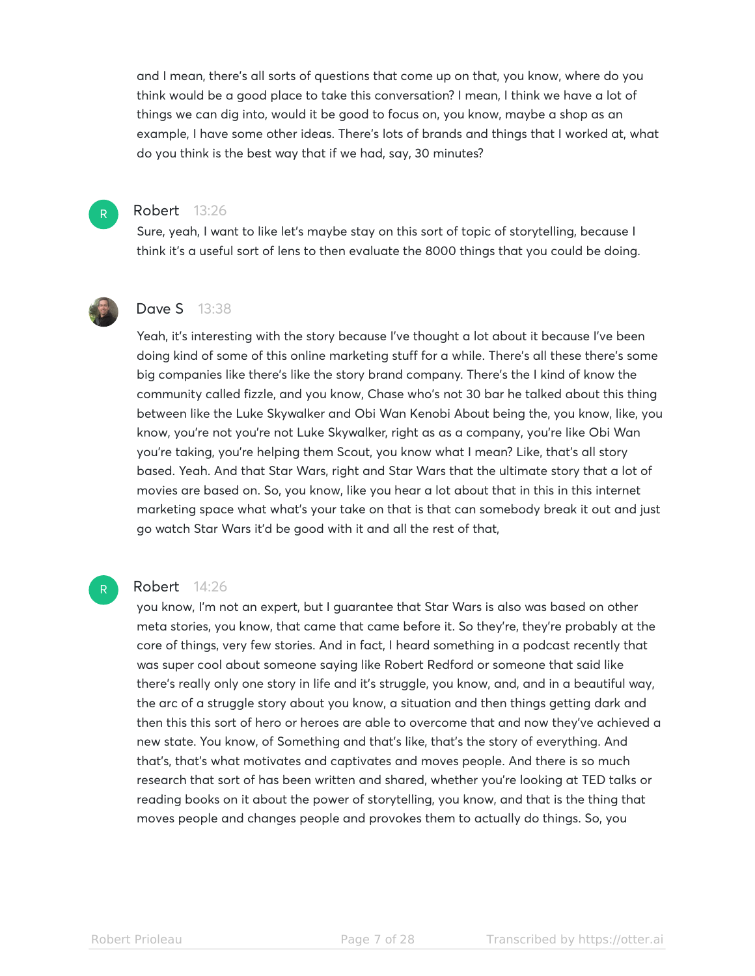and I mean, there's all sorts of questions that come up on that, you know, where do you think would be a good place to take this conversation? I mean, I think we have a lot of things we can dig into, would it be good to focus on, you know, maybe a shop as an example, I have some other ideas. There's lots of brands and things that I worked at, what do you think is the best way that if we had, say, 30 minutes?

## Robert 13:26

Sure, yeah, I want to like let's maybe stay on this sort of topic of storytelling, because I think it's a useful sort of lens to then evaluate the 8000 things that you could be doing.



R

# Dave S 13:38

Yeah, it's interesting with the story because I've thought a lot about it because I've been doing kind of some of this online marketing stuff for a while. There's all these there's some big companies like there's like the story brand company. There's the I kind of know the community called fizzle, and you know, Chase who's not 30 bar he talked about this thing between like the Luke Skywalker and Obi Wan Kenobi About being the, you know, like, you know, you're not you're not Luke Skywalker, right as as a company, you're like Obi Wan you're taking, you're helping them Scout, you know what I mean? Like, that's all story based. Yeah. And that Star Wars, right and Star Wars that the ultimate story that a lot of movies are based on. So, you know, like you hear a lot about that in this in this internet marketing space what what's your take on that is that can somebody break it out and just go watch Star Wars it'd be good with it and all the rest of that,

# Robert 14:26

R

you know, I'm not an expert, but I guarantee that Star Wars is also was based on other meta stories, you know, that came that came before it. So they're, they're probably at the core of things, very few stories. And in fact, I heard something in a podcast recently that was super cool about someone saying like Robert Redford or someone that said like there's really only one story in life and it's struggle, you know, and, and in a beautiful way, the arc of a struggle story about you know, a situation and then things getting dark and then this this sort of hero or heroes are able to overcome that and now they've achieved a new state. You know, of Something and that's like, that's the story of everything. And that's, that's what motivates and captivates and moves people. And there is so much research that sort of has been written and shared, whether you're looking at TED talks or reading books on it about the power of storytelling, you know, and that is the thing that moves people and changes people and provokes them to actually do things. So, you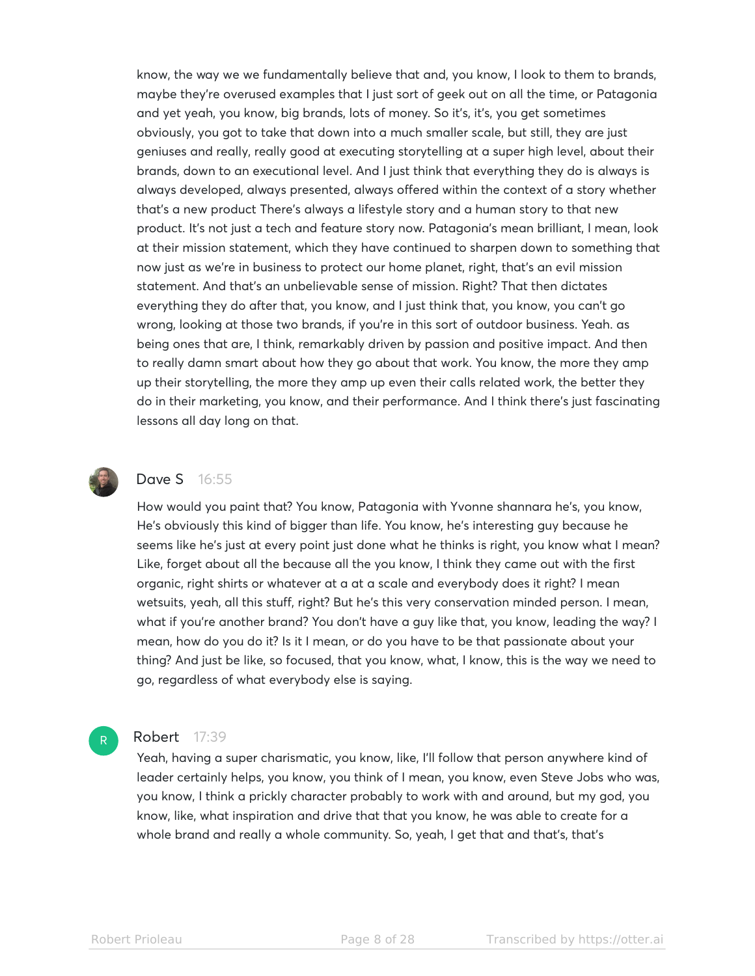know, the way we we fundamentally believe that and, you know, I look to them to brands, maybe they're overused examples that I just sort of geek out on all the time, or Patagonia and yet yeah, you know, big brands, lots of money. So it's, it's, you get sometimes obviously, you got to take that down into a much smaller scale, but still, they are just geniuses and really, really good at executing storytelling at a super high level, about their brands, down to an executional level. And I just think that everything they do is always is always developed, always presented, always offered within the context of a story whether that's a new product There's always a lifestyle story and a human story to that new product. It's not just a tech and feature story now. Patagonia's mean brilliant, I mean, look at their mission statement, which they have continued to sharpen down to something that now just as we're in business to protect our home planet, right, that's an evil mission statement. And that's an unbelievable sense of mission. Right? That then dictates everything they do after that, you know, and I just think that, you know, you can't go wrong, looking at those two brands, if you're in this sort of outdoor business. Yeah. as being ones that are, I think, remarkably driven by passion and positive impact. And then to really damn smart about how they go about that work. You know, the more they amp up their storytelling, the more they amp up even their calls related work, the better they do in their marketing, you know, and their performance. And I think there's just fascinating lessons all day long on that.



R

## Dave S 16:55

How would you paint that? You know, Patagonia with Yvonne shannara he's, you know, He's obviously this kind of bigger than life. You know, he's interesting guy because he seems like he's just at every point just done what he thinks is right, you know what I mean? Like, forget about all the because all the you know, I think they came out with the first organic, right shirts or whatever at a at a scale and everybody does it right? I mean wetsuits, yeah, all this stuff, right? But he's this very conservation minded person. I mean, what if you're another brand? You don't have a guy like that, you know, leading the way? I mean, how do you do it? Is it I mean, or do you have to be that passionate about your thing? And just be like, so focused, that you know, what, I know, this is the way we need to go, regardless of what everybody else is saying.

#### **Robert** 17:39

Yeah, having a super charismatic, you know, like, I'll follow that person anywhere kind of leader certainly helps, you know, you think of I mean, you know, even Steve Jobs who was, you know, I think a prickly character probably to work with and around, but my god, you know, like, what inspiration and drive that that you know, he was able to create for a whole brand and really a whole community. So, yeah, I get that and that's, that's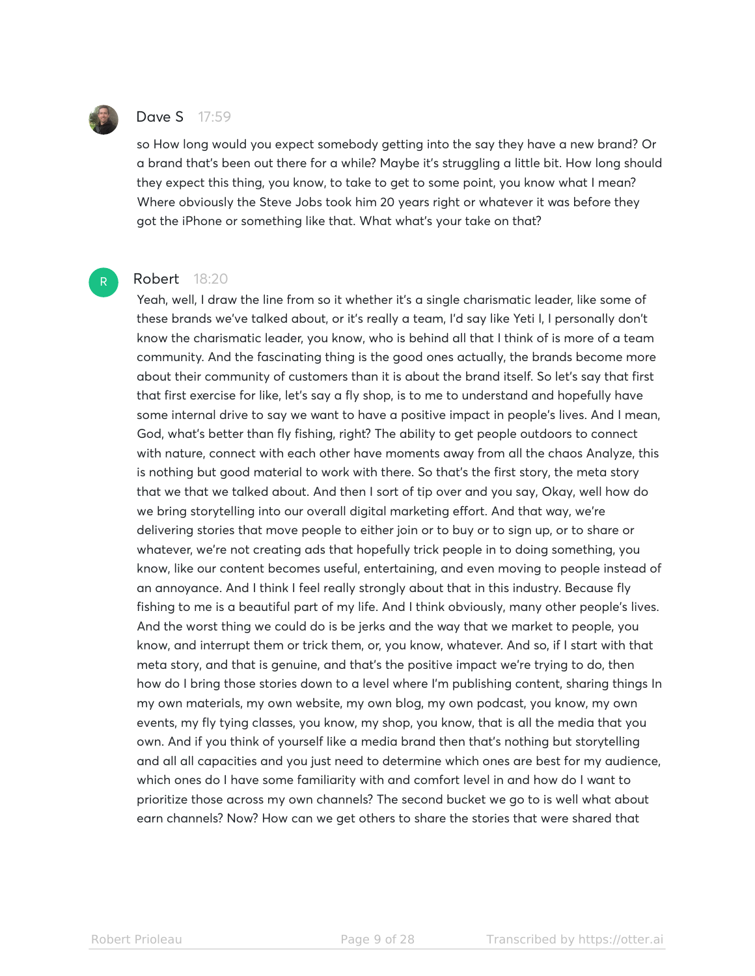

R

# Dave S 17:59

so How long would you expect somebody getting into the say they have a new brand? Or a brand that's been out there for a while? Maybe it's struggling a little bit. How long should they expect this thing, you know, to take to get to some point, you know what I mean? Where obviously the Steve Jobs took him 20 years right or whatever it was before they got the iPhone or something like that. What what's your take on that?

## Robert 18:20

Yeah, well, I draw the line from so it whether it's a single charismatic leader, like some of these brands we've talked about, or it's really a team, I'd say like Yeti I, I personally don't know the charismatic leader, you know, who is behind all that I think of is more of a team community. And the fascinating thing is the good ones actually, the brands become more about their community of customers than it is about the brand itself. So let's say that first that first exercise for like, let's say a fly shop, is to me to understand and hopefully have some internal drive to say we want to have a positive impact in people's lives. And I mean, God, what's better than fly fishing, right? The ability to get people outdoors to connect with nature, connect with each other have moments away from all the chaos Analyze, this is nothing but good material to work with there. So that's the first story, the meta story that we that we talked about. And then I sort of tip over and you say, Okay, well how do we bring storytelling into our overall digital marketing effort. And that way, we're delivering stories that move people to either join or to buy or to sign up, or to share or whatever, we're not creating ads that hopefully trick people in to doing something, you know, like our content becomes useful, entertaining, and even moving to people instead of an annoyance. And I think I feel really strongly about that in this industry. Because fly fishing to me is a beautiful part of my life. And I think obviously, many other people's lives. And the worst thing we could do is be jerks and the way that we market to people, you know, and interrupt them or trick them, or, you know, whatever. And so, if I start with that meta story, and that is genuine, and that's the positive impact we're trying to do, then how do I bring those stories down to a level where I'm publishing content, sharing things In my own materials, my own website, my own blog, my own podcast, you know, my own events, my fly tying classes, you know, my shop, you know, that is all the media that you own. And if you think of yourself like a media brand then that's nothing but storytelling and all all capacities and you just need to determine which ones are best for my audience, which ones do I have some familiarity with and comfort level in and how do I want to prioritize those across my own channels? The second bucket we go to is well what about earn channels? Now? How can we get others to share the stories that were shared that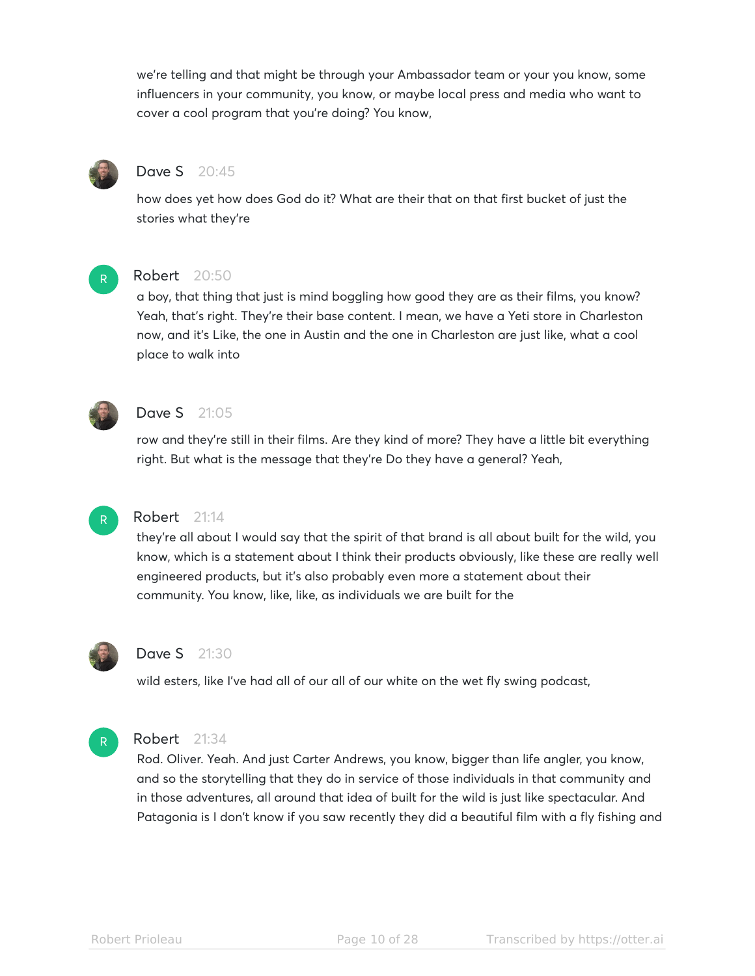we're telling and that might be through your Ambassador team or your you know, some influencers in your community, you know, or maybe local press and media who want to cover a cool program that you're doing? You know,



# Dave S 20:45

how does yet how does God do it? What are their that on that first bucket of just the stories what they're



# Robert 20:50

a boy, that thing that just is mind boggling how good they are as their films, you know? Yeah, that's right. They're their base content. I mean, we have a Yeti store in Charleston now, and it's Like, the one in Austin and the one in Charleston are just like, what a cool place to walk into



## **Dave S** 21:05

row and they're still in their films. Are they kind of more? They have a little bit everything right. But what is the message that they're Do they have a general? Yeah,



# Robert 21:14

they're all about I would say that the spirit of that brand is all about built for the wild, you know, which is a statement about I think their products obviously, like these are really well engineered products, but it's also probably even more a statement about their community. You know, like, like, as individuals we are built for the



# Dave S 21:30

wild esters, like I've had all of our all of our white on the wet fly swing podcast,



## Robert 21:34

Rod. Oliver. Yeah. And just Carter Andrews, you know, bigger than life angler, you know, and so the storytelling that they do in service of those individuals in that community and in those adventures, all around that idea of built for the wild is just like spectacular. And Patagonia is I don't know if you saw recently they did a beautiful film with a fly fishing and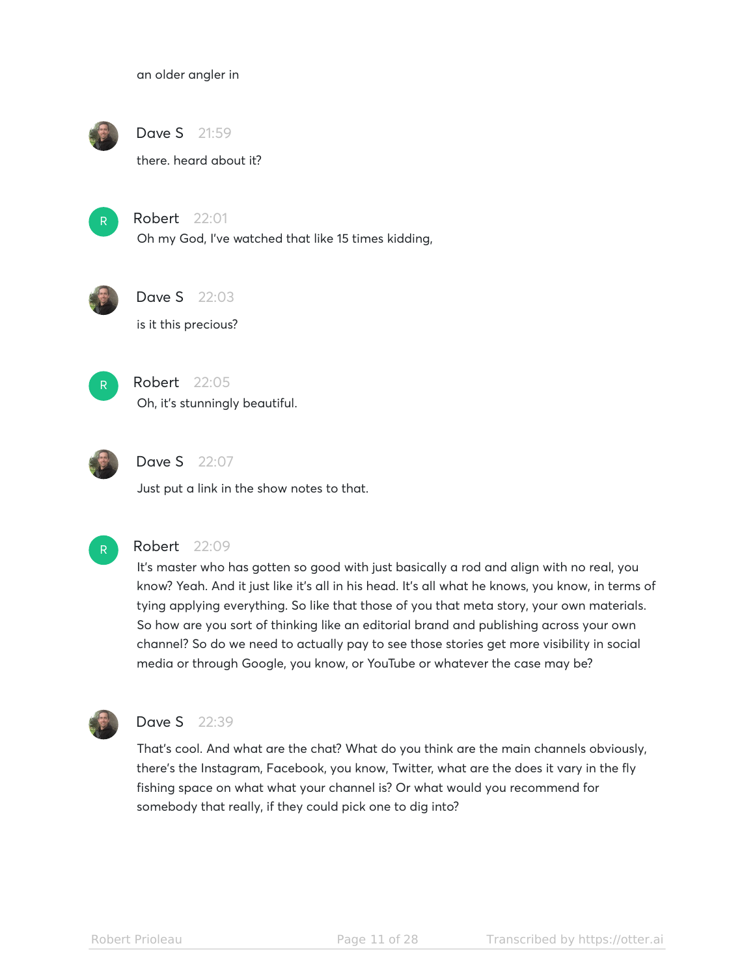an older angler in



Dave S 21:59

there. heard about it?



Robert 22:01

Oh my God, I've watched that like 15 times kidding,





is it this precious?



Robert 22:05 Oh, it's stunningly beautiful.



**Dave S** 22:07

Just put a link in the show notes to that.



## Robert 22:09

It's master who has gotten so good with just basically a rod and align with no real, you know? Yeah. And it just like it's all in his head. It's all what he knows, you know, in terms of tying applying everything. So like that those of you that meta story, your own materials. So how are you sort of thinking like an editorial brand and publishing across your own channel? So do we need to actually pay to see those stories get more visibility in social media or through Google, you know, or YouTube or whatever the case may be?



# Dave S 22:39

That's cool. And what are the chat? What do you think are the main channels obviously, there's the Instagram, Facebook, you know, Twitter, what are the does it vary in the fly fishing space on what what your channel is? Or what would you recommend for somebody that really, if they could pick one to dig into?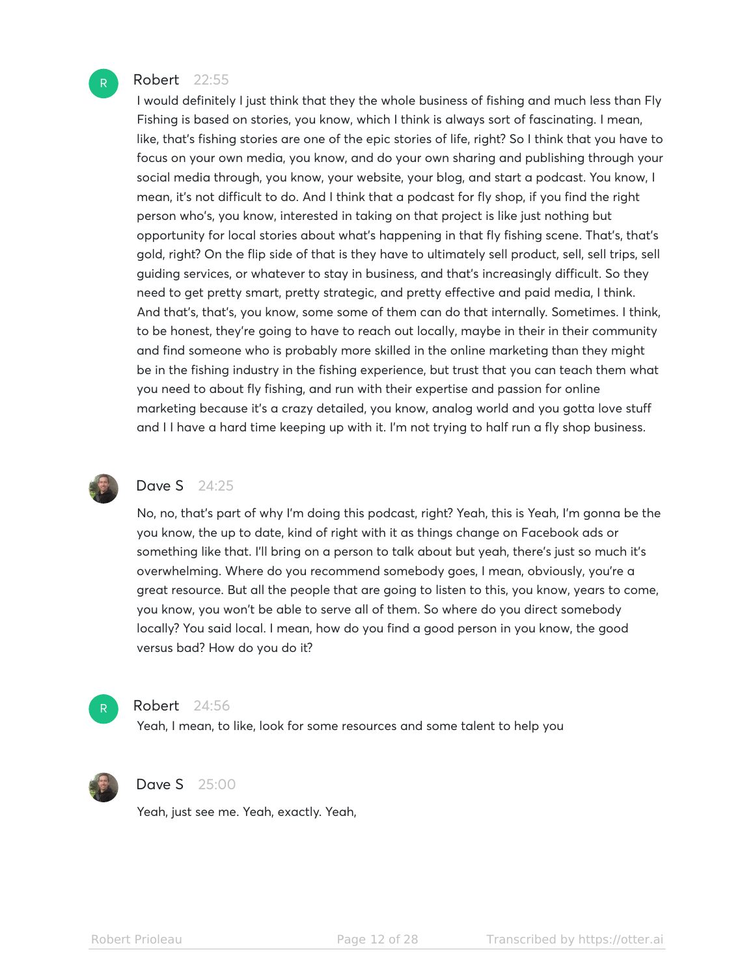#### Robert 22:55

I would definitely I just think that they the whole business of fishing and much less than Fly Fishing is based on stories, you know, which I think is always sort of fascinating. I mean, like, that's fishing stories are one of the epic stories of life, right? So I think that you have to focus on your own media, you know, and do your own sharing and publishing through your social media through, you know, your website, your blog, and start a podcast. You know, I mean, it's not difficult to do. And I think that a podcast for fly shop, if you find the right person who's, you know, interested in taking on that project is like just nothing but opportunity for local stories about what's happening in that fly fishing scene. That's, that's gold, right? On the flip side of that is they have to ultimately sell product, sell, sell trips, sell guiding services, or whatever to stay in business, and that's increasingly difficult. So they need to get pretty smart, pretty strategic, and pretty effective and paid media, I think. And that's, that's, you know, some some of them can do that internally. Sometimes. I think, to be honest, they're going to have to reach out locally, maybe in their in their community and find someone who is probably more skilled in the online marketing than they might be in the fishing industry in the fishing experience, but trust that you can teach them what you need to about fly fishing, and run with their expertise and passion for online marketing because it's a crazy detailed, you know, analog world and you gotta love stuff and I I have a hard time keeping up with it. I'm not trying to half run a fly shop business.



## Dave S 24:25

No, no, that's part of why I'm doing this podcast, right? Yeah, this is Yeah, I'm gonna be the you know, the up to date, kind of right with it as things change on Facebook ads or something like that. I'll bring on a person to talk about but yeah, there's just so much it's overwhelming. Where do you recommend somebody goes, I mean, obviously, you're a great resource. But all the people that are going to listen to this, you know, years to come, you know, you won't be able to serve all of them. So where do you direct somebody locally? You said local. I mean, how do you find a good person in you know, the good versus bad? How do you do it?



# Robert 24:56

Yeah, I mean, to like, look for some resources and some talent to help you



#### Dave S 25:00

Yeah, just see me. Yeah, exactly. Yeah,

R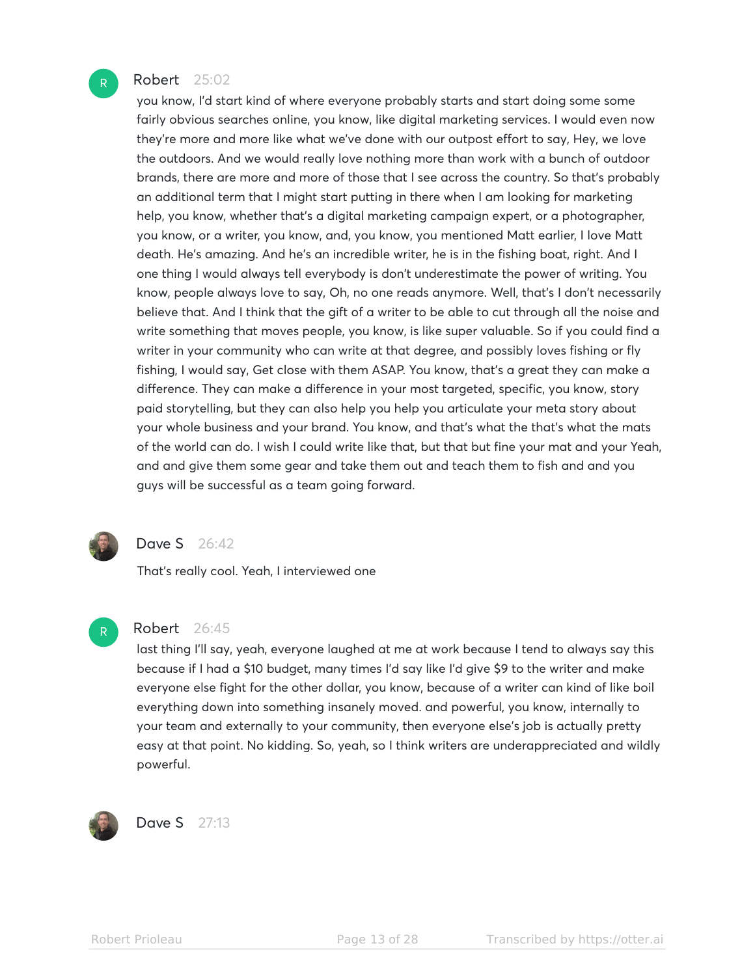#### Robert 25:02

you know, I'd start kind of where everyone probably starts and start doing some some fairly obvious searches online, you know, like digital marketing services. I would even now they're more and more like what we've done with our outpost effort to say, Hey, we love the outdoors. And we would really love nothing more than work with a bunch of outdoor brands, there are more and more of those that I see across the country. So that's probably an additional term that I might start putting in there when I am looking for marketing help, you know, whether that's a digital marketing campaign expert, or a photographer, you know, or a writer, you know, and, you know, you mentioned Matt earlier, I love Matt death. He's amazing. And he's an incredible writer, he is in the fishing boat, right. And I one thing I would always tell everybody is don't underestimate the power of writing. You know, people always love to say, Oh, no one reads anymore. Well, that's I don't necessarily believe that. And I think that the gift of a writer to be able to cut through all the noise and write something that moves people, you know, is like super valuable. So if you could find a writer in your community who can write at that degree, and possibly loves fishing or fly fishing, I would say, Get close with them ASAP. You know, that's a great they can make a difference. They can make a difference in your most targeted, specific, you know, story paid storytelling, but they can also help you help you articulate your meta story about your whole business and your brand. You know, and that's what the that's what the mats of the world can do. I wish I could write like that, but that but fine your mat and your Yeah, and and give them some gear and take them out and teach them to fish and and you guys will be successful as a team going forward.



R

#### Dave S 26:42

That's really cool. Yeah, I interviewed one

## Robert 26:45

last thing I'll say, yeah, everyone laughed at me at work because I tend to always say this because if I had a \$10 budget, many times I'd say like I'd give \$9 to the writer and make everyone else fight for the other dollar, you know, because of a writer can kind of like boil everything down into something insanely moved. and powerful, you know, internally to your team and externally to your community, then everyone else's job is actually pretty easy at that point. No kidding. So, yeah, so I think writers are underappreciated and wildly powerful.



Dave S 27:13

R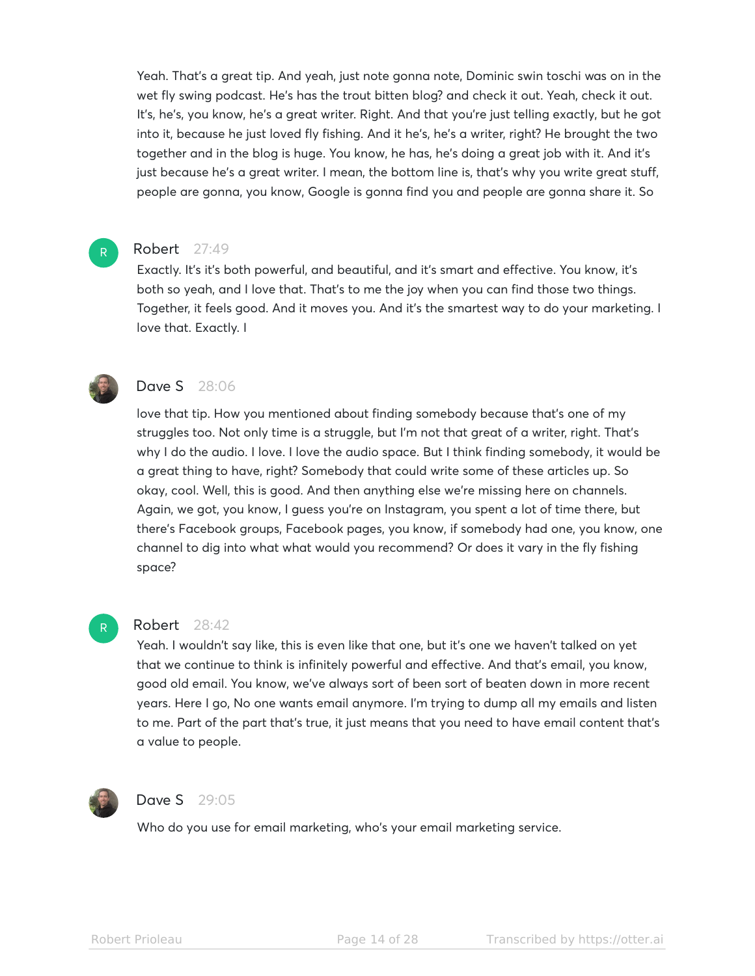Yeah. That's a great tip. And yeah, just note gonna note, Dominic swin toschi was on in the wet fly swing podcast. He's has the trout bitten blog? and check it out. Yeah, check it out. It's, he's, you know, he's a great writer. Right. And that you're just telling exactly, but he got into it, because he just loved fly fishing. And it he's, he's a writer, right? He brought the two together and in the blog is huge. You know, he has, he's doing a great job with it. And it's just because he's a great writer. I mean, the bottom line is, that's why you write great stuff, people are gonna, you know, Google is gonna find you and people are gonna share it. So

#### Robert 27:49

Exactly. It's it's both powerful, and beautiful, and it's smart and effective. You know, it's both so yeah, and I love that. That's to me the joy when you can find those two things. Together, it feels good. And it moves you. And it's the smartest way to do your marketing. I love that. Exactly. I



R

# **Dave S** 28:06

love that tip. How you mentioned about finding somebody because that's one of my struggles too. Not only time is a struggle, but I'm not that great of a writer, right. That's why I do the audio. I love. I love the audio space. But I think finding somebody, it would be a great thing to have, right? Somebody that could write some of these articles up. So okay, cool. Well, this is good. And then anything else we're missing here on channels. Again, we got, you know, I guess you're on Instagram, you spent a lot of time there, but there's Facebook groups, Facebook pages, you know, if somebody had one, you know, one channel to dig into what what would you recommend? Or does it vary in the fly fishing space?

#### Robert 28:42

Yeah. I wouldn't say like, this is even like that one, but it's one we haven't talked on yet that we continue to think is infinitely powerful and effective. And that's email, you know, good old email. You know, we've always sort of been sort of beaten down in more recent years. Here I go, No one wants email anymore. I'm trying to dump all my emails and listen to me. Part of the part that's true, it just means that you need to have email content that's a value to people.



R

#### **Dave S** 29:05

Who do you use for email marketing, who's your email marketing service.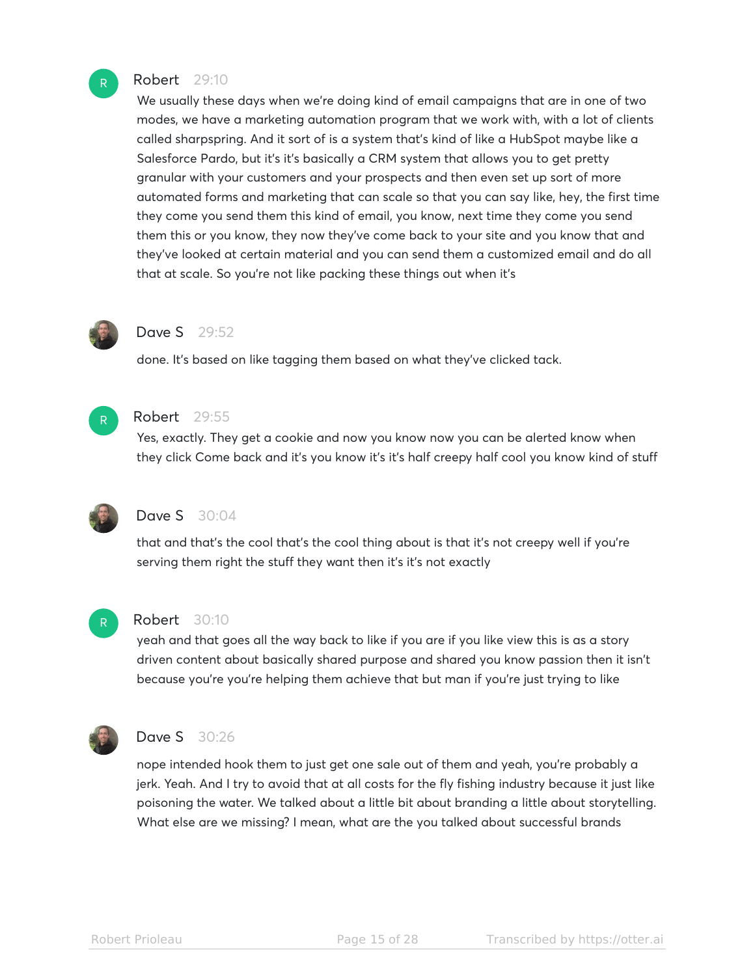#### Robert 29:10

We usually these days when we're doing kind of email campaigns that are in one of two modes, we have a marketing automation program that we work with, with a lot of clients called sharpspring. And it sort of is a system that's kind of like a HubSpot maybe like a Salesforce Pardo, but it's it's basically a CRM system that allows you to get pretty granular with your customers and your prospects and then even set up sort of more automated forms and marketing that can scale so that you can say like, hey, the first time they come you send them this kind of email, you know, next time they come you send them this or you know, they now they've come back to your site and you know that and they've looked at certain material and you can send them a customized email and do all that at scale. So you're not like packing these things out when it's



# Dave S 29:52

done. It's based on like tagging them based on what they've clicked tack.



# Robert 29:55

Yes, exactly. They get a cookie and now you know now you can be alerted know when they click Come back and it's you know it's it's half creepy half cool you know kind of stuff



# **Dave S** 30:04

that and that's the cool that's the cool thing about is that it's not creepy well if you're serving them right the stuff they want then it's it's not exactly



## Robert 30:10

yeah and that goes all the way back to like if you are if you like view this is as a story driven content about basically shared purpose and shared you know passion then it isn't because you're you're helping them achieve that but man if you're just trying to like



## **Dave S** 30:26

nope intended hook them to just get one sale out of them and yeah, you're probably a jerk. Yeah. And I try to avoid that at all costs for the fly fishing industry because it just like poisoning the water. We talked about a little bit about branding a little about storytelling. What else are we missing? I mean, what are the you talked about successful brands

R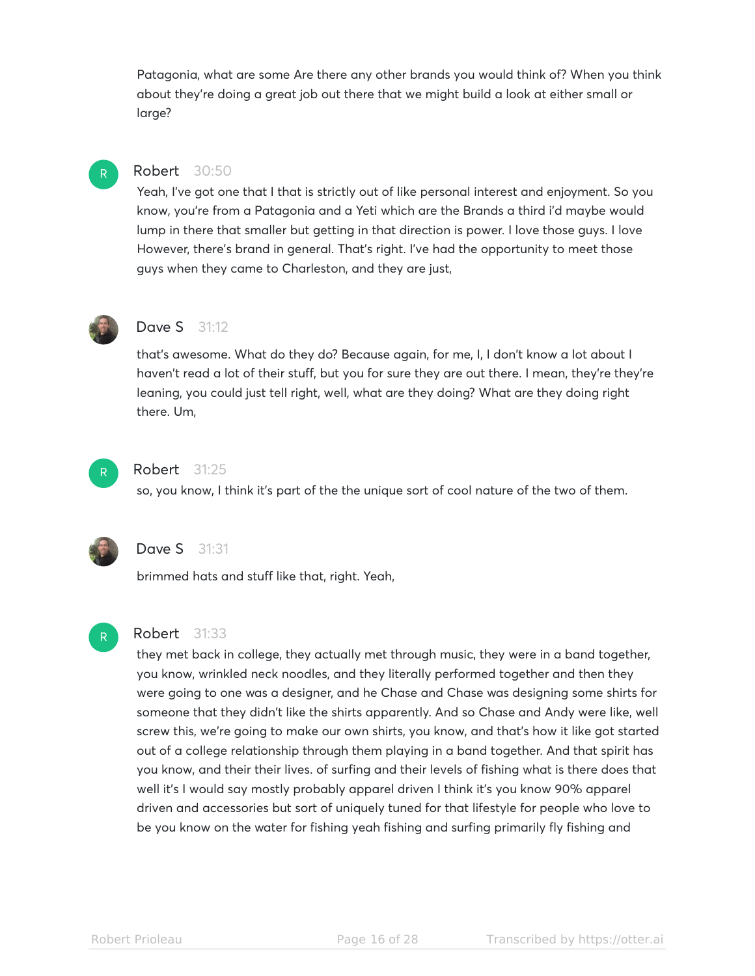Patagonia, what are some Are there any other brands you would think of? When you think about they're doing a great job out there that we might build a look at either small or large?

# Robert 30:50

Yeah, I've got one that I that is strictly out of like personal interest and enjoyment. So you know, you're from a Patagonia and a Yeti which are the Brands a third i'd maybe would lump in there that smaller but getting in that direction is power. I love those guys. I love However, there's brand in general. That's right. I've had the opportunity to meet those guys when they came to Charleston, and they are just,



R

## **Dave S** 31:12

that's awesome. What do they do? Because again, for me, I, I don't know a lot about I haven't read a lot of their stuff, but you for sure they are out there. I mean, they're they're leaning, you could just tell right, well, what are they doing? What are they doing right there. Um,



#### Robert 31:25

so, you know, I think it's part of the the unique sort of cool nature of the two of them.



# **Dave S** 31:31

brimmed hats and stuff like that, right. Yeah,



#### Robert 31:33

they met back in college, they actually met through music, they were in a band together, you know, wrinkled neck noodles, and they literally performed together and then they were going to one was a designer, and he Chase and Chase was designing some shirts for someone that they didn't like the shirts apparently. And so Chase and Andy were like, well screw this, we're going to make our own shirts, you know, and that's how it like got started out of a college relationship through them playing in a band together. And that spirit has you know, and their their lives. of surfing and their levels of fishing what is there does that well it's I would say mostly probably apparel driven I think it's you know 90% apparel driven and accessories but sort of uniquely tuned for that lifestyle for people who love to be you know on the water for fishing yeah fishing and surfing primarily fly fishing and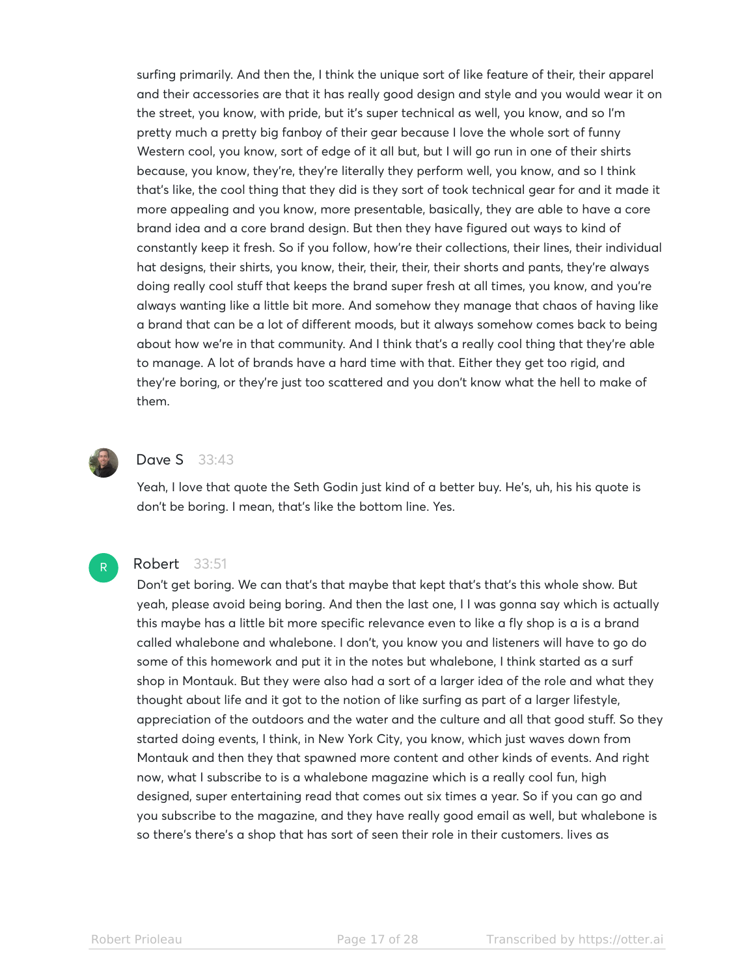surfing primarily. And then the, I think the unique sort of like feature of their, their apparel and their accessories are that it has really good design and style and you would wear it on the street, you know, with pride, but it's super technical as well, you know, and so I'm pretty much a pretty big fanboy of their gear because I love the whole sort of funny Western cool, you know, sort of edge of it all but, but I will go run in one of their shirts because, you know, they're, they're literally they perform well, you know, and so I think that's like, the cool thing that they did is they sort of took technical gear for and it made it more appealing and you know, more presentable, basically, they are able to have a core brand idea and a core brand design. But then they have figured out ways to kind of constantly keep it fresh. So if you follow, how're their collections, their lines, their individual hat designs, their shirts, you know, their, their, their, their shorts and pants, they're always doing really cool stuff that keeps the brand super fresh at all times, you know, and you're always wanting like a little bit more. And somehow they manage that chaos of having like a brand that can be a lot of different moods, but it always somehow comes back to being about how we're in that community. And I think that's a really cool thing that they're able to manage. A lot of brands have a hard time with that. Either they get too rigid, and they're boring, or they're just too scattered and you don't know what the hell to make of them.



# **Dave S** 33:43

Yeah, I love that quote the Seth Godin just kind of a better buy. He's, uh, his his quote is don't be boring. I mean, that's like the bottom line. Yes.



#### Robert 33:51

Don't get boring. We can that's that maybe that kept that's that's this whole show. But yeah, please avoid being boring. And then the last one, I I was gonna say which is actually this maybe has a little bit more specific relevance even to like a fly shop is a is a brand called whalebone and whalebone. I don't, you know you and listeners will have to go do some of this homework and put it in the notes but whalebone, I think started as a surf shop in Montauk. But they were also had a sort of a larger idea of the role and what they thought about life and it got to the notion of like surfing as part of a larger lifestyle, appreciation of the outdoors and the water and the culture and all that good stuff. So they started doing events, I think, in New York City, you know, which just waves down from Montauk and then they that spawned more content and other kinds of events. And right now, what I subscribe to is a whalebone magazine which is a really cool fun, high designed, super entertaining read that comes out six times a year. So if you can go and you subscribe to the magazine, and they have really good email as well, but whalebone is so there's there's a shop that has sort of seen their role in their customers. lives as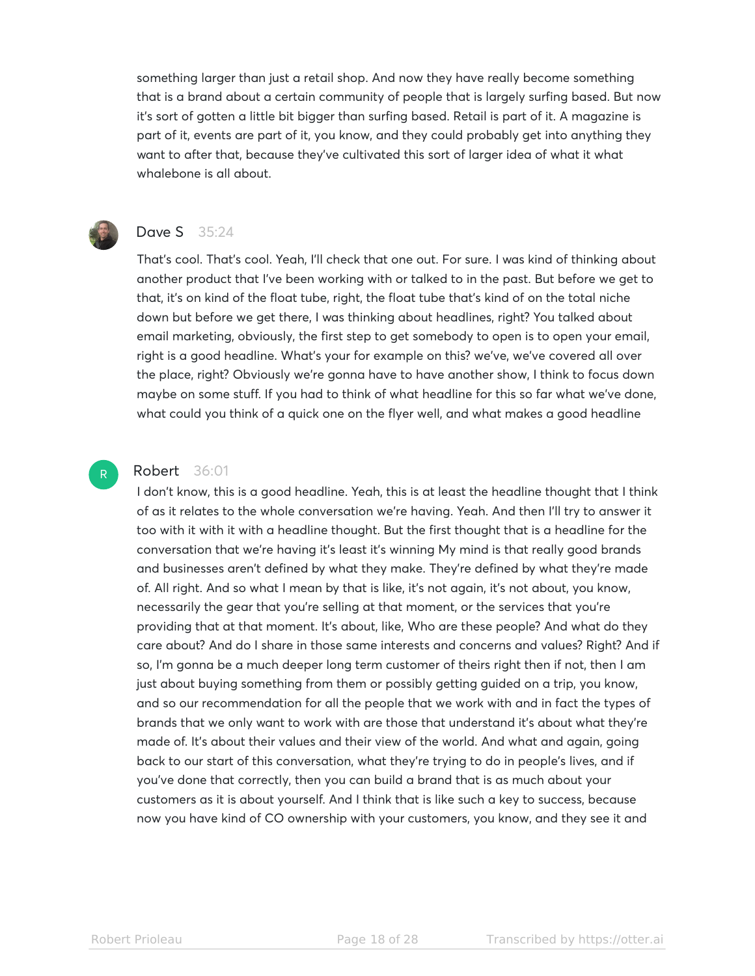something larger than just a retail shop. And now they have really become something that is a brand about a certain community of people that is largely surfing based. But now it's sort of gotten a little bit bigger than surfing based. Retail is part of it. A magazine is part of it, events are part of it, you know, and they could probably get into anything they want to after that, because they've cultivated this sort of larger idea of what it what whalebone is all about.



R

# Dave S 35:24

That's cool. That's cool. Yeah, I'll check that one out. For sure. I was kind of thinking about another product that I've been working with or talked to in the past. But before we get to that, it's on kind of the float tube, right, the float tube that's kind of on the total niche down but before we get there, I was thinking about headlines, right? You talked about email marketing, obviously, the first step to get somebody to open is to open your email, right is a good headline. What's your for example on this? we've, we've covered all over the place, right? Obviously we're gonna have to have another show, I think to focus down maybe on some stuff. If you had to think of what headline for this so far what we've done, what could you think of a quick one on the flyer well, and what makes a good headline

#### Robert 36:01

I don't know, this is a good headline. Yeah, this is at least the headline thought that I think of as it relates to the whole conversation we're having. Yeah. And then I'll try to answer it too with it with it with a headline thought. But the first thought that is a headline for the conversation that we're having it's least it's winning My mind is that really good brands and businesses aren't defined by what they make. They're defined by what they're made of. All right. And so what I mean by that is like, it's not again, it's not about, you know, necessarily the gear that you're selling at that moment, or the services that you're providing that at that moment. It's about, like, Who are these people? And what do they care about? And do I share in those same interests and concerns and values? Right? And if so, I'm gonna be a much deeper long term customer of theirs right then if not, then I am just about buying something from them or possibly getting guided on a trip, you know, and so our recommendation for all the people that we work with and in fact the types of brands that we only want to work with are those that understand it's about what they're made of. It's about their values and their view of the world. And what and again, going back to our start of this conversation, what they're trying to do in people's lives, and if you've done that correctly, then you can build a brand that is as much about your customers as it is about yourself. And I think that is like such a key to success, because now you have kind of CO ownership with your customers, you know, and they see it and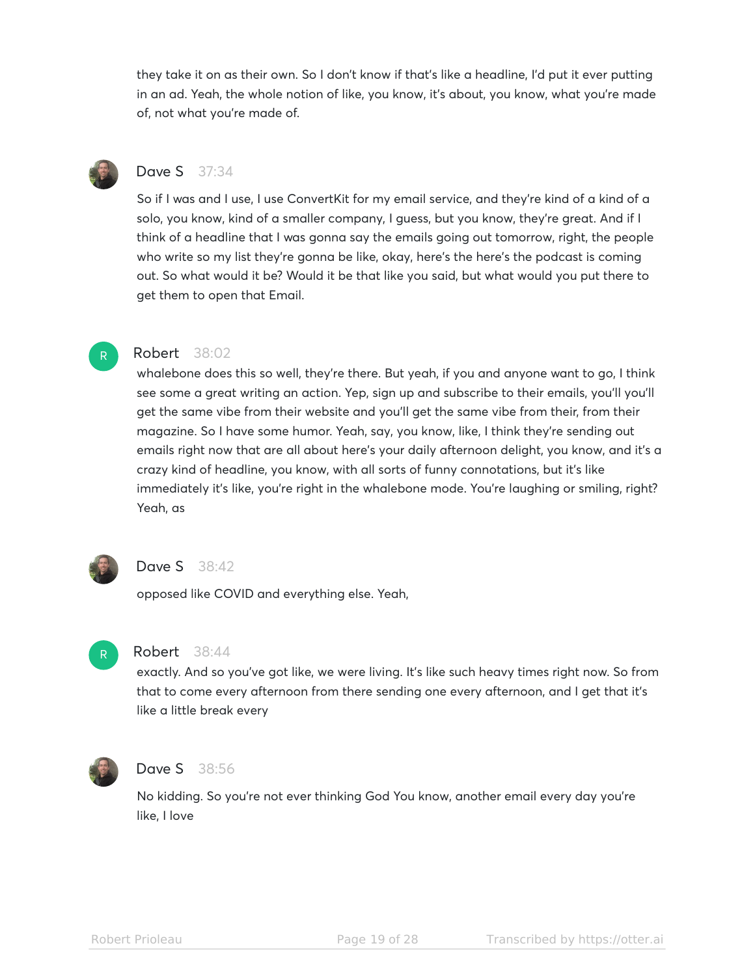they take it on as their own. So I don't know if that's like a headline, I'd put it ever putting in an ad. Yeah, the whole notion of like, you know, it's about, you know, what you're made of, not what you're made of.



# Dave S 37:34

So if I was and I use, I use ConvertKit for my email service, and they're kind of a kind of a solo, you know, kind of a smaller company, I guess, but you know, they're great. And if I think of a headline that I was gonna say the emails going out tomorrow, right, the people who write so my list they're gonna be like, okay, here's the here's the podcast is coming out. So what would it be? Would it be that like you said, but what would you put there to get them to open that Email.

# R

# Robert 38:02

whalebone does this so well, they're there. But yeah, if you and anyone want to go, I think see some a great writing an action. Yep, sign up and subscribe to their emails, you'll you'll get the same vibe from their website and you'll get the same vibe from their, from their magazine. So I have some humor. Yeah, say, you know, like, I think they're sending out emails right now that are all about here's your daily afternoon delight, you know, and it's a crazy kind of headline, you know, with all sorts of funny connotations, but it's like immediately it's like, you're right in the whalebone mode. You're laughing or smiling, right? Yeah, as



# Dave S 38:42

opposed like COVID and everything else. Yeah,



## Robert 38:44

exactly. And so you've got like, we were living. It's like such heavy times right now. So from that to come every afternoon from there sending one every afternoon, and I get that it's like a little break every



## **Dave S** 38:56

No kidding. So you're not ever thinking God You know, another email every day you're like, I love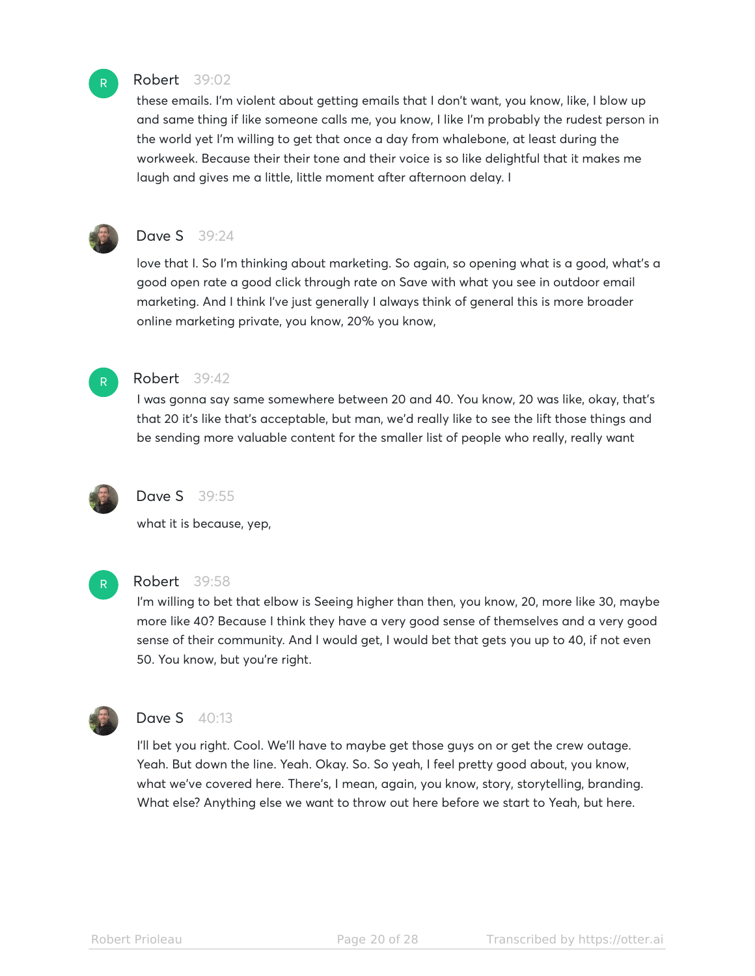

## Robert 39:02

these emails. I'm violent about getting emails that I don't want, you know, like, I blow up and same thing if like someone calls me, you know, I like I'm probably the rudest person in the world yet I'm willing to get that once a day from whalebone, at least during the workweek. Because their their tone and their voice is so like delightful that it makes me laugh and gives me a little, little moment after afternoon delay. I



# **Dave S** 39:24

love that I. So I'm thinking about marketing. So again, so opening what is a good, what's a good open rate a good click through rate on Save with what you see in outdoor email marketing. And I think I've just generally I always think of general this is more broader online marketing private, you know, 20% you know,



#### Robert 39:42

I was gonna say same somewhere between 20 and 40. You know, 20 was like, okay, that's that 20 it's like that's acceptable, but man, we'd really like to see the lift those things and be sending more valuable content for the smaller list of people who really, really want



## Dave S 39:55

what it is because, yep,



## Robert 39:58

I'm willing to bet that elbow is Seeing higher than then, you know, 20, more like 30, maybe more like 40? Because I think they have a very good sense of themselves and a very good sense of their community. And I would get, I would bet that gets you up to 40, if not even 50. You know, but you're right.



# **Dave S** 40:13

I'll bet you right. Cool. We'll have to maybe get those guys on or get the crew outage. Yeah. But down the line. Yeah. Okay. So. So yeah, I feel pretty good about, you know, what we've covered here. There's, I mean, again, you know, story, storytelling, branding. What else? Anything else we want to throw out here before we start to Yeah, but here.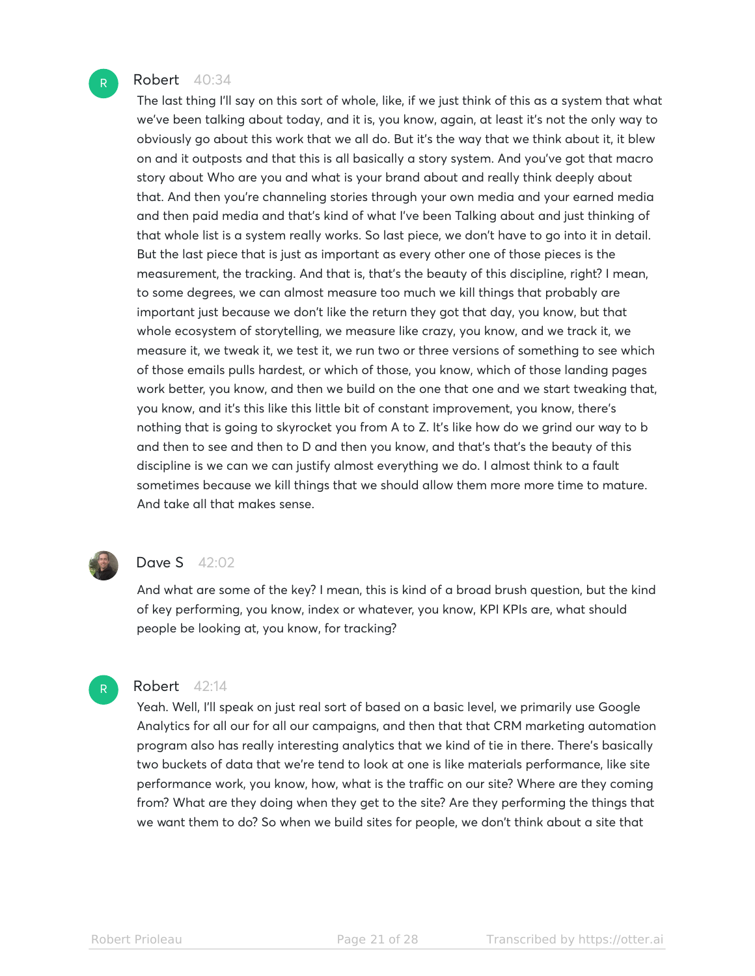#### Robert 40:34

The last thing I'll say on this sort of whole, like, if we just think of this as a system that what we've been talking about today, and it is, you know, again, at least it's not the only way to obviously go about this work that we all do. But it's the way that we think about it, it blew on and it outposts and that this is all basically a story system. And you've got that macro story about Who are you and what is your brand about and really think deeply about that. And then you're channeling stories through your own media and your earned media and then paid media and that's kind of what I've been Talking about and just thinking of that whole list is a system really works. So last piece, we don't have to go into it in detail. But the last piece that is just as important as every other one of those pieces is the measurement, the tracking. And that is, that's the beauty of this discipline, right? I mean, to some degrees, we can almost measure too much we kill things that probably are important just because we don't like the return they got that day, you know, but that whole ecosystem of storytelling, we measure like crazy, you know, and we track it, we measure it, we tweak it, we test it, we run two or three versions of something to see which of those emails pulls hardest, or which of those, you know, which of those landing pages work better, you know, and then we build on the one that one and we start tweaking that, you know, and it's this like this little bit of constant improvement, you know, there's nothing that is going to skyrocket you from A to Z. It's like how do we grind our way to b and then to see and then to D and then you know, and that's that's the beauty of this discipline is we can we can justify almost everything we do. I almost think to a fault sometimes because we kill things that we should allow them more more time to mature. And take all that makes sense.



## **Dave S** 42:02

And what are some of the key? I mean, this is kind of a broad brush question, but the kind of key performing, you know, index or whatever, you know, KPI KPIs are, what should people be looking at, you know, for tracking?

# R

# Robert 42:14

Yeah. Well, I'll speak on just real sort of based on a basic level, we primarily use Google Analytics for all our for all our campaigns, and then that that CRM marketing automation program also has really interesting analytics that we kind of tie in there. There's basically two buckets of data that we're tend to look at one is like materials performance, like site performance work, you know, how, what is the traffic on our site? Where are they coming from? What are they doing when they get to the site? Are they performing the things that we want them to do? So when we build sites for people, we don't think about a site that

R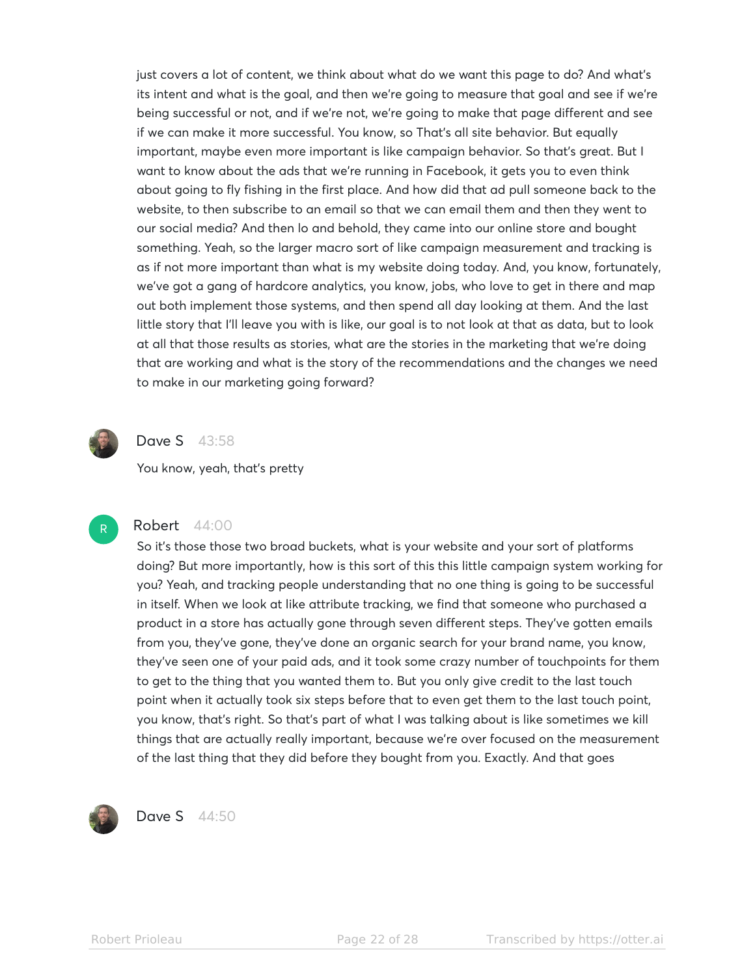just covers a lot of content, we think about what do we want this page to do? And what's its intent and what is the goal, and then we're going to measure that goal and see if we're being successful or not, and if we're not, we're going to make that page different and see if we can make it more successful. You know, so That's all site behavior. But equally important, maybe even more important is like campaign behavior. So that's great. But I want to know about the ads that we're running in Facebook, it gets you to even think about going to fly fishing in the first place. And how did that ad pull someone back to the website, to then subscribe to an email so that we can email them and then they went to our social media? And then lo and behold, they came into our online store and bought something. Yeah, so the larger macro sort of like campaign measurement and tracking is as if not more important than what is my website doing today. And, you know, fortunately, we've got a gang of hardcore analytics, you know, jobs, who love to get in there and map out both implement those systems, and then spend all day looking at them. And the last little story that I'll leave you with is like, our goal is to not look at that as data, but to look at all that those results as stories, what are the stories in the marketing that we're doing that are working and what is the story of the recommendations and the changes we need to make in our marketing going forward?



## **Dave S** 43:58

You know, yeah, that's pretty



# Robert 44:00

So it's those those two broad buckets, what is your website and your sort of platforms doing? But more importantly, how is this sort of this this little campaign system working for you? Yeah, and tracking people understanding that no one thing is going to be successful in itself. When we look at like attribute tracking, we find that someone who purchased a product in a store has actually gone through seven different steps. They've gotten emails from you, they've gone, they've done an organic search for your brand name, you know, they've seen one of your paid ads, and it took some crazy number of touchpoints for them to get to the thing that you wanted them to. But you only give credit to the last touch point when it actually took six steps before that to even get them to the last touch point, you know, that's right. So that's part of what I was talking about is like sometimes we kill things that are actually really important, because we're over focused on the measurement of the last thing that they did before they bought from you. Exactly. And that goes



Dave S 44:50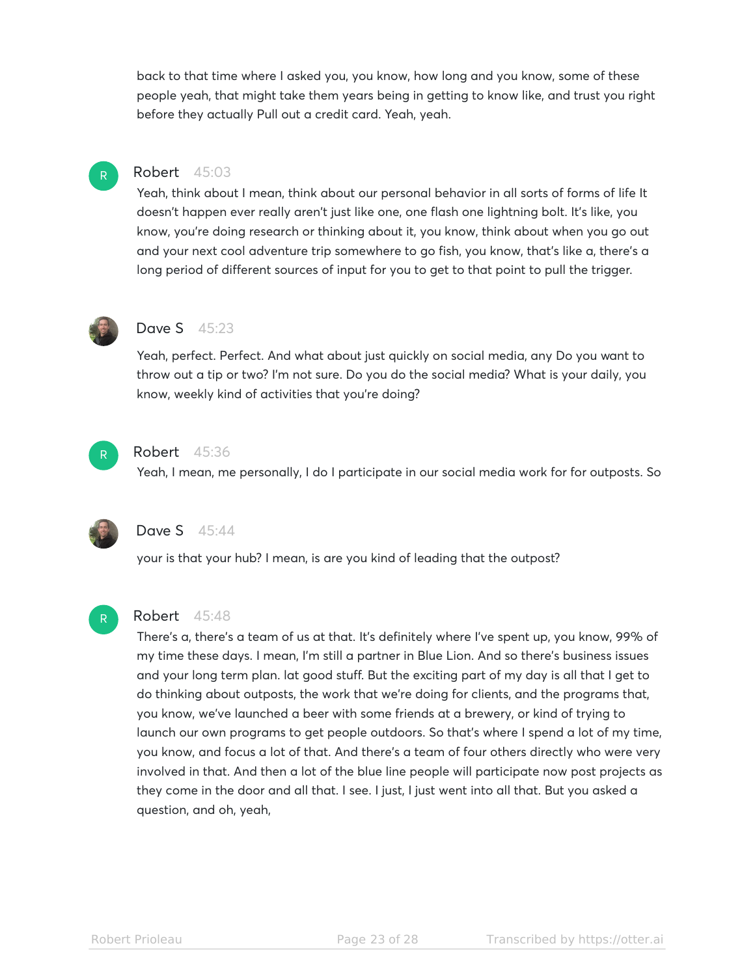back to that time where I asked you, you know, how long and you know, some of these people yeah, that might take them years being in getting to know like, and trust you right before they actually Pull out a credit card. Yeah, yeah.

# Robert 45:03

Yeah, think about I mean, think about our personal behavior in all sorts of forms of life It doesn't happen ever really aren't just like one, one flash one lightning bolt. It's like, you know, you're doing research or thinking about it, you know, think about when you go out and your next cool adventure trip somewhere to go fish, you know, that's like a, there's a long period of different sources of input for you to get to that point to pull the trigger.



R

## Dave S 45:23

Yeah, perfect. Perfect. And what about just quickly on social media, any Do you want to throw out a tip or two? I'm not sure. Do you do the social media? What is your daily, you know, weekly kind of activities that you're doing?



#### Robert 45:36

Yeah, I mean, me personally, I do I participate in our social media work for for outposts. So



R

# Dave S 45:44

your is that your hub? I mean, is are you kind of leading that the outpost?

#### Robert 45:48

There's a, there's a team of us at that. It's definitely where I've spent up, you know, 99% of my time these days. I mean, I'm still a partner in Blue Lion. And so there's business issues and your long term plan. lat good stuff. But the exciting part of my day is all that I get to do thinking about outposts, the work that we're doing for clients, and the programs that, you know, we've launched a beer with some friends at a brewery, or kind of trying to launch our own programs to get people outdoors. So that's where I spend a lot of my time, you know, and focus a lot of that. And there's a team of four others directly who were very involved in that. And then a lot of the blue line people will participate now post projects as they come in the door and all that. I see. I just, I just went into all that. But you asked a question, and oh, yeah,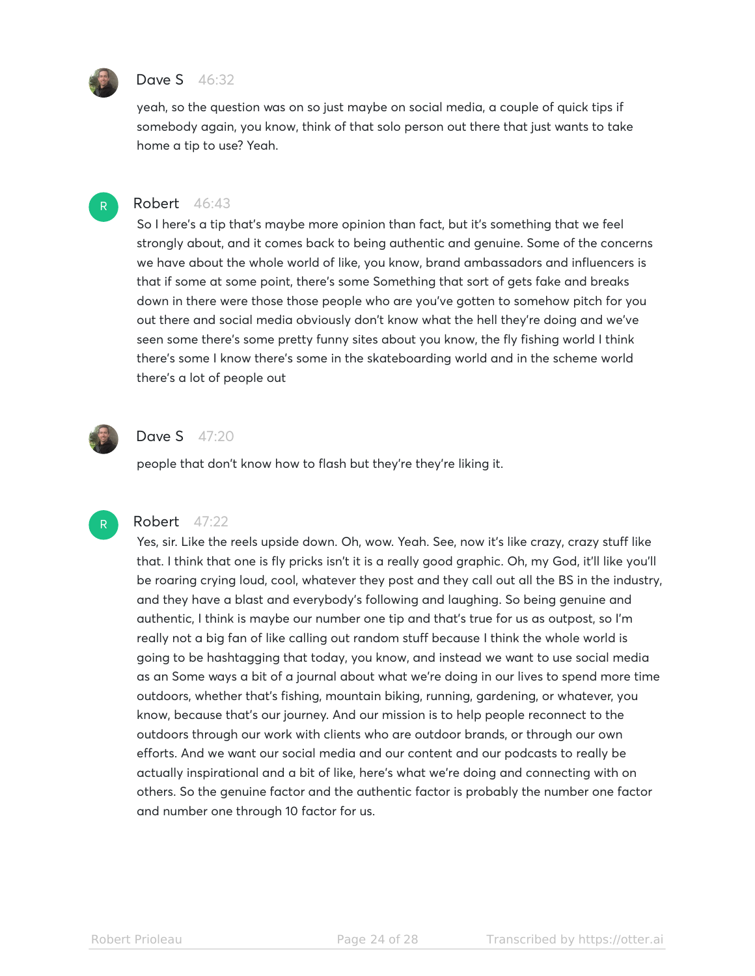

# **Dave S** 46:32

yeah, so the question was on so just maybe on social media, a couple of quick tips if somebody again, you know, think of that solo person out there that just wants to take home a tip to use? Yeah.

# R

## Robert 46:43

So I here's a tip that's maybe more opinion than fact, but it's something that we feel strongly about, and it comes back to being authentic and genuine. Some of the concerns we have about the whole world of like, you know, brand ambassadors and influencers is that if some at some point, there's some Something that sort of gets fake and breaks down in there were those those people who are you've gotten to somehow pitch for you out there and social media obviously don't know what the hell they're doing and we've seen some there's some pretty funny sites about you know, the fly fishing world I think there's some I know there's some in the skateboarding world and in the scheme world there's a lot of people out



R

# **Dave S** 47:20

people that don't know how to flash but they're they're liking it.

# Robert 47:22

Yes, sir. Like the reels upside down. Oh, wow. Yeah. See, now it's like crazy, crazy stuff like that. I think that one is fly pricks isn't it is a really good graphic. Oh, my God, it'll like you'll be roaring crying loud, cool, whatever they post and they call out all the BS in the industry, and they have a blast and everybody's following and laughing. So being genuine and authentic, I think is maybe our number one tip and that's true for us as outpost, so I'm really not a big fan of like calling out random stuff because I think the whole world is going to be hashtagging that today, you know, and instead we want to use social media as an Some ways a bit of a journal about what we're doing in our lives to spend more time outdoors, whether that's fishing, mountain biking, running, gardening, or whatever, you know, because that's our journey. And our mission is to help people reconnect to the outdoors through our work with clients who are outdoor brands, or through our own efforts. And we want our social media and our content and our podcasts to really be actually inspirational and a bit of like, here's what we're doing and connecting with on others. So the genuine factor and the authentic factor is probably the number one factor and number one through 10 factor for us.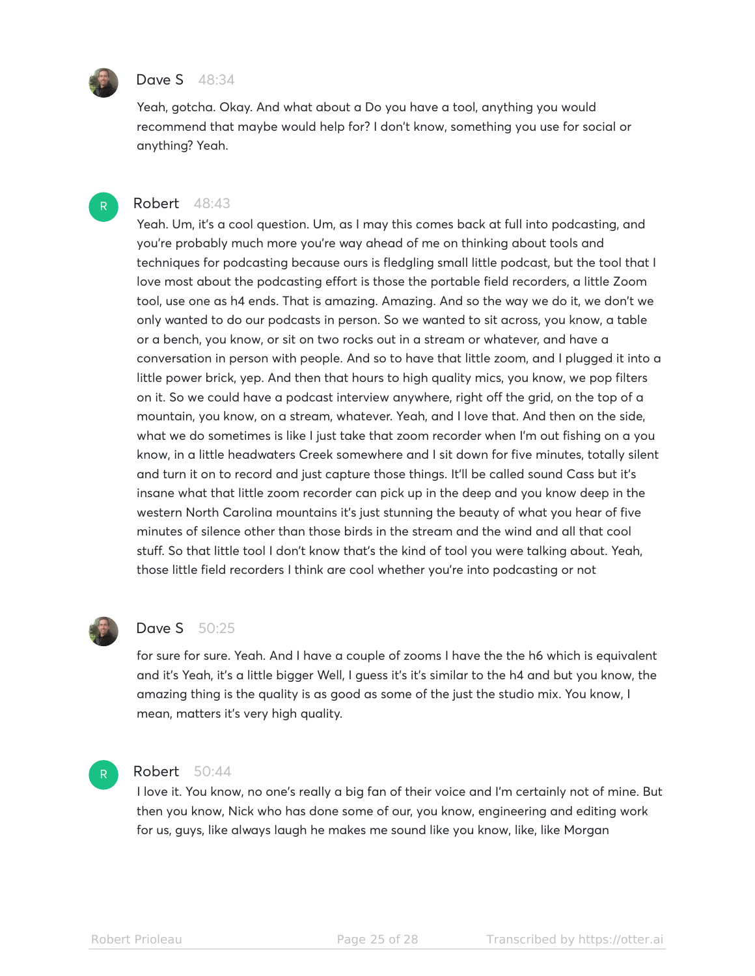

R

# Dave S 48:34

Yeah, gotcha. Okay. And what about a Do you have a tool, anything you would recommend that maybe would help for? I don't know, something you use for social or anything? Yeah.

# Robert 48:43

Yeah. Um, it's a cool question. Um, as I may this comes back at full into podcasting, and you're probably much more you're way ahead of me on thinking about tools and techniques for podcasting because ours is fledgling small little podcast, but the tool that I love most about the podcasting effort is those the portable field recorders, a little Zoom tool, use one as h4 ends. That is amazing. Amazing. And so the way we do it, we don't we only wanted to do our podcasts in person. So we wanted to sit across, you know, a table or a bench, you know, or sit on two rocks out in a stream or whatever, and have a conversation in person with people. And so to have that little zoom, and I plugged it into a little power brick, yep. And then that hours to high quality mics, you know, we pop filters on it. So we could have a podcast interview anywhere, right off the grid, on the top of a mountain, you know, on a stream, whatever. Yeah, and I love that. And then on the side, what we do sometimes is like I just take that zoom recorder when I'm out fishing on a you know, in a little headwaters Creek somewhere and I sit down for five minutes, totally silent and turn it on to record and just capture those things. It'll be called sound Cass but it's insane what that little zoom recorder can pick up in the deep and you know deep in the western North Carolina mountains it's just stunning the beauty of what you hear of five minutes of silence other than those birds in the stream and the wind and all that cool stuff. So that little tool I don't know that's the kind of tool you were talking about. Yeah, those little field recorders I think are cool whether you're into podcasting or not



## Dave S 50:25

for sure for sure. Yeah. And I have a couple of zooms I have the the h6 which is equivalent and it's Yeah, it's a little bigger Well, I guess it's it's similar to the h4 and but you know, the amazing thing is the quality is as good as some of the just the studio mix. You know, I mean, matters it's very high quality.

# R

## Robert 50:44

I love it. You know, no one's really a big fan of their voice and I'm certainly not of mine. But then you know, Nick who has done some of our, you know, engineering and editing work for us, guys, like always laugh he makes me sound like you know, like, like Morgan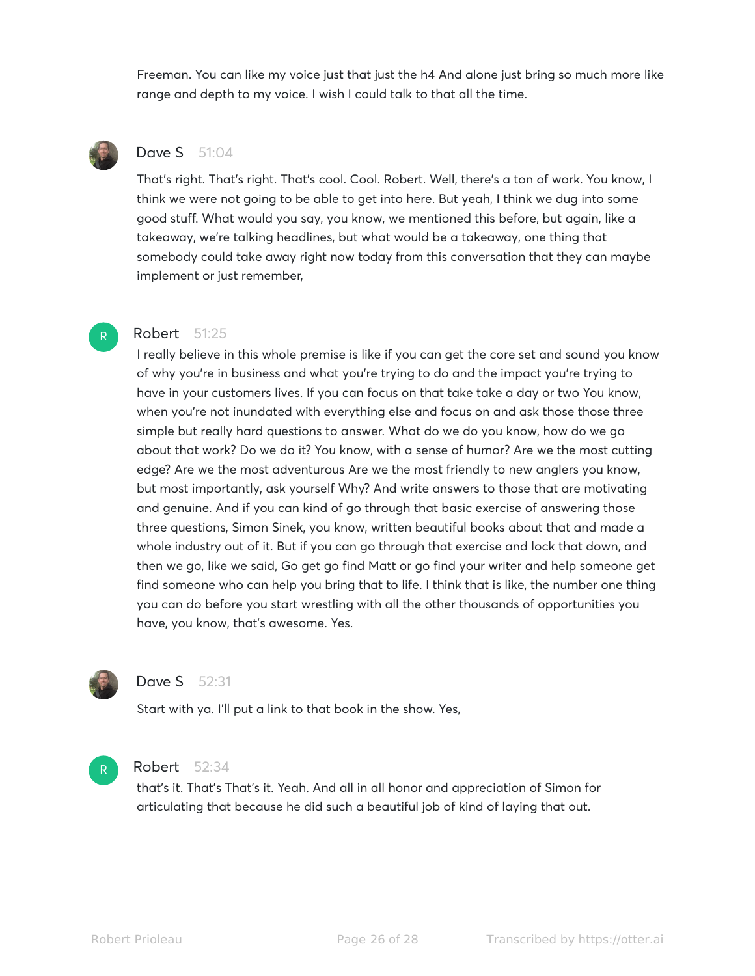Freeman. You can like my voice just that just the h4 And alone just bring so much more like range and depth to my voice. I wish I could talk to that all the time.



R

# Dave S 51:04

That's right. That's right. That's cool. Cool. Robert. Well, there's a ton of work. You know, I think we were not going to be able to get into here. But yeah, I think we dug into some good stuff. What would you say, you know, we mentioned this before, but again, like a takeaway, we're talking headlines, but what would be a takeaway, one thing that somebody could take away right now today from this conversation that they can maybe implement or just remember,

## Robert 51:25

I really believe in this whole premise is like if you can get the core set and sound you know of why you're in business and what you're trying to do and the impact you're trying to have in your customers lives. If you can focus on that take take a day or two You know, when you're not inundated with everything else and focus on and ask those those three simple but really hard questions to answer. What do we do you know, how do we go about that work? Do we do it? You know, with a sense of humor? Are we the most cutting edge? Are we the most adventurous Are we the most friendly to new anglers you know, but most importantly, ask yourself Why? And write answers to those that are motivating and genuine. And if you can kind of go through that basic exercise of answering those three questions, Simon Sinek, you know, written beautiful books about that and made a whole industry out of it. But if you can go through that exercise and lock that down, and then we go, like we said, Go get go find Matt or go find your writer and help someone get find someone who can help you bring that to life. I think that is like, the number one thing you can do before you start wrestling with all the other thousands of opportunities you have, you know, that's awesome. Yes.



# **Dave S** 52:31

Start with ya. I'll put a link to that book in the show. Yes,



## Robert 52:34

that's it. That's That's it. Yeah. And all in all honor and appreciation of Simon for articulating that because he did such a beautiful job of kind of laying that out.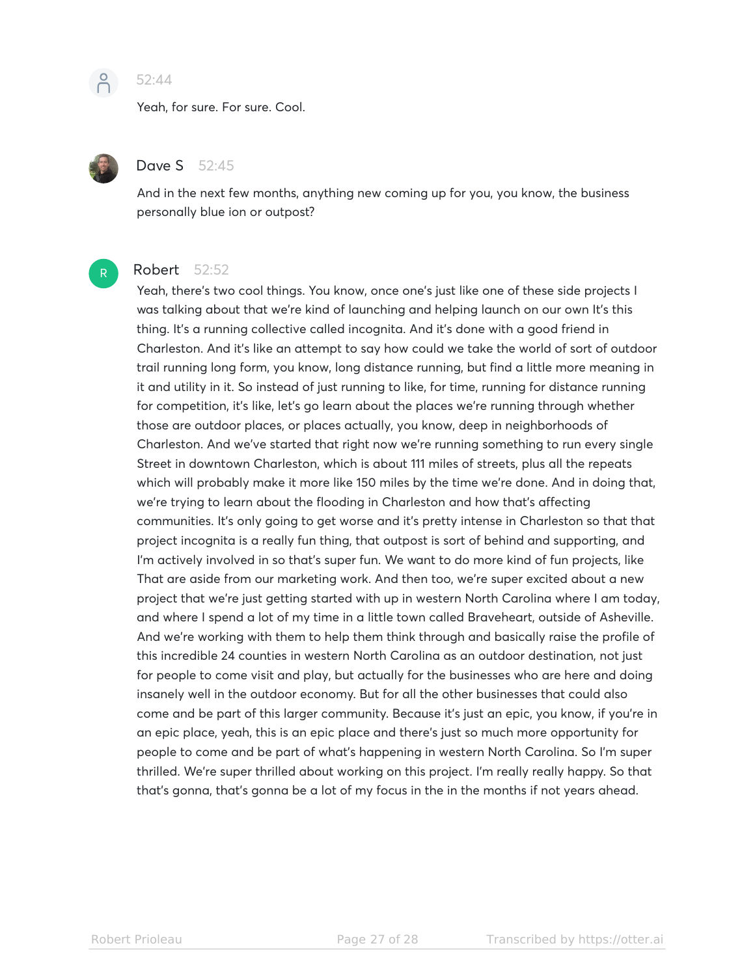

# 52:44

Yeah, for sure. For sure. Cool.



## Dave S 52:45

And in the next few months, anything new coming up for you, you know, the business personally blue ion or outpost?



# Robert 52:52

Yeah, there's two cool things. You know, once one's just like one of these side projects I was talking about that we're kind of launching and helping launch on our own It's this thing. It's a running collective called incognita. And it's done with a good friend in Charleston. And it's like an attempt to say how could we take the world of sort of outdoor trail running long form, you know, long distance running, but find a little more meaning in it and utility in it. So instead of just running to like, for time, running for distance running for competition, it's like, let's go learn about the places we're running through whether those are outdoor places, or places actually, you know, deep in neighborhoods of Charleston. And we've started that right now we're running something to run every single Street in downtown Charleston, which is about 111 miles of streets, plus all the repeats which will probably make it more like 150 miles by the time we're done. And in doing that, we're trying to learn about the flooding in Charleston and how that's affecting communities. It's only going to get worse and it's pretty intense in Charleston so that that project incognita is a really fun thing, that outpost is sort of behind and supporting, and I'm actively involved in so that's super fun. We want to do more kind of fun projects, like That are aside from our marketing work. And then too, we're super excited about a new project that we're just getting started with up in western North Carolina where I am today, and where I spend a lot of my time in a little town called Braveheart, outside of Asheville. And we're working with them to help them think through and basically raise the profile of this incredible 24 counties in western North Carolina as an outdoor destination, not just for people to come visit and play, but actually for the businesses who are here and doing insanely well in the outdoor economy. But for all the other businesses that could also come and be part of this larger community. Because it's just an epic, you know, if you're in an epic place, yeah, this is an epic place and there's just so much more opportunity for people to come and be part of what's happening in western North Carolina. So I'm super thrilled. We're super thrilled about working on this project. I'm really really happy. So that that's gonna, that's gonna be a lot of my focus in the in the months if not years ahead.